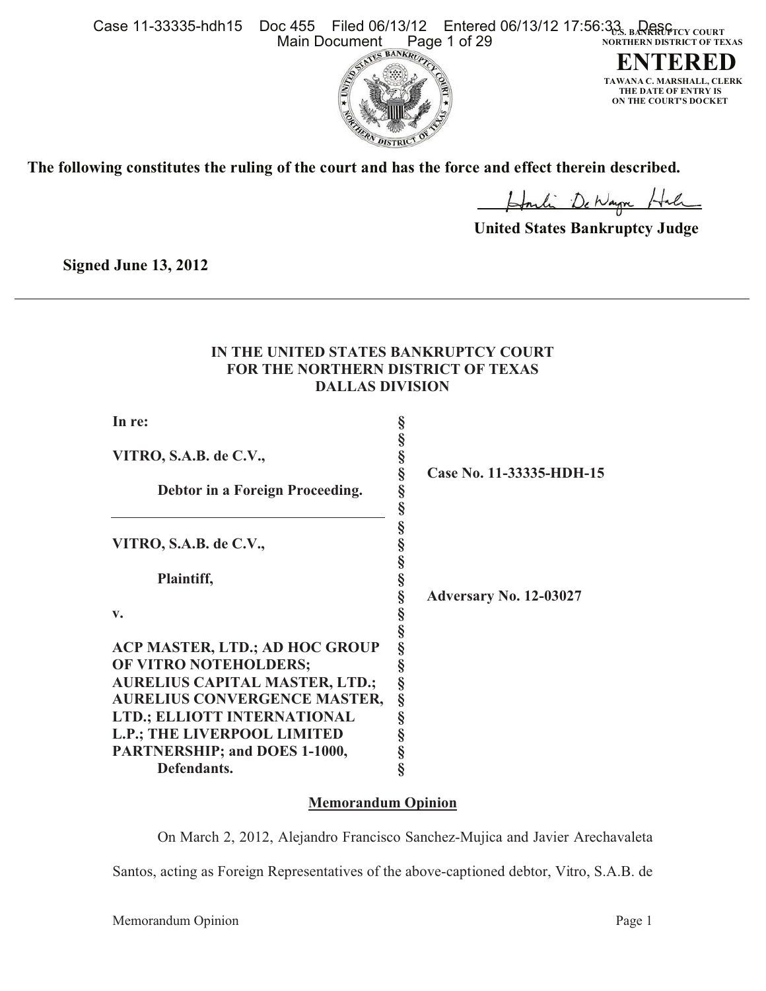Case 11-33335-hdh15 Doc 455 Filed 06/13/<u>1</u>2 Entered 06/13/12 17:56:33. в4RRRPrсү соuкт **NORTHERN DISTRICT OF TEXAS** Main Document Page 1 of 29





**The following constitutes the ruling of the court and has the force and effect therein described.**

Howlin De Nayne Hale

 **United States Bankruptcy Judge**

**Signed June 13, 2012**

# **IN THE UNITED STATES BANKRUPTCY COURT FOR THE NORTHERN DISTRICT OF TEXAS DALLAS DIVISION**

| In re:                 |   |
|------------------------|---|
| VITRO, S.A.B. de C.V., |   |
| T.<br><b>B</b> 1 4     | ົ |

| $\frac{1}{2}$                         |   |                          |
|---------------------------------------|---|--------------------------|
|                                       |   | Case No. 11-33335-HDH-15 |
| Debtor in a Foreign Proceeding.       |   |                          |
|                                       |   |                          |
|                                       |   |                          |
| VITRO, S.A.B. de C.V.,                |   |                          |
|                                       |   |                          |
| Plaintiff,                            |   |                          |
|                                       |   | Adversary No. 12-03027   |
| $V_{\bullet}$                         |   |                          |
|                                       |   |                          |
| ACP MASTER, LTD.; AD HOC GROUP        | § |                          |
| OF VITRO NOTEHOLDERS;                 | ş |                          |
| <b>AURELIUS CAPITAL MASTER, LTD.;</b> | § |                          |
| <b>AURELIUS CONVERGENCE MASTER,</b>   | § |                          |
| LTD.; ELLIOTT INTERNATIONAL           |   |                          |
| L.P.; THE LIVERPOOL LIMITED           |   |                          |
| PARTNERSHIP; and DOES 1-1000,         |   |                          |
| Defendants.                           |   |                          |

# **Memorandum Opinion**

On March 2, 2012, Alejandro Francisco Sanchez-Mujica and Javier Arechavaleta Santos, acting as Foreign Representatives of the above-captioned debtor, Vitro, S.A.B. de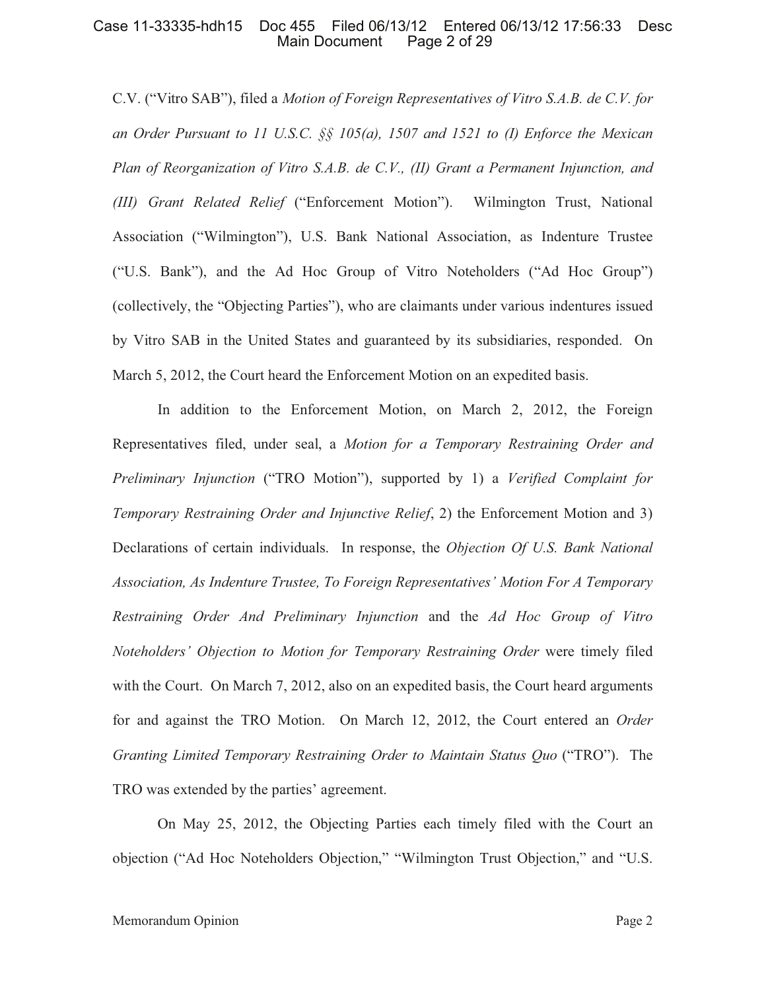C.V. ("Vitro SAB"), filed a *Motion of Foreign Representatives of Vitro S.A.B. de C.V. for an Order Pursuant to 11 U.S.C. §§ 105(a), 1507 and 1521 to (I) Enforce the Mexican Plan of Reorganization of Vitro S.A.B. de C.V., (II) Grant a Permanent Injunction, and (III) Grant Related Relief* ("Enforcement Motion"). Wilmington Trust, National Association ("Wilmington"), U.S. Bank National Association, as Indenture Trustee ("U.S. Bank"), and the Ad Hoc Group of Vitro Noteholders ("Ad Hoc Group") (collectively, the "Objecting Parties"), who are claimants under various indentures issued by Vitro SAB in the United States and guaranteed by its subsidiaries, responded. On March 5, 2012, the Court heard the Enforcement Motion on an expedited basis.

In addition to the Enforcement Motion, on March 2, 2012, the Foreign Representatives filed, under seal, a *Motion for a Temporary Restraining Order and Preliminary Injunction* ("TRO Motion"), supported by 1) a *Verified Complaint for Temporary Restraining Order and Injunctive Relief*, 2) the Enforcement Motion and 3) Declarations of certain individuals. In response, the *Objection Of U.S. Bank National Association, As Indenture Trustee, To Foreign Representatives' Motion For A Temporary Restraining Order And Preliminary Injunction* and the *Ad Hoc Group of Vitro Noteholders' Objection to Motion for Temporary Restraining Order* were timely filed with the Court. On March 7, 2012, also on an expedited basis, the Court heard arguments for and against the TRO Motion. On March 12, 2012, the Court entered an *Order Granting Limited Temporary Restraining Order to Maintain Status Quo* ("TRO"). The TRO was extended by the parties' agreement.

On May 25, 2012, the Objecting Parties each timely filed with the Court an objection ("Ad Hoc Noteholders Objection," "Wilmington Trust Objection," and "U.S.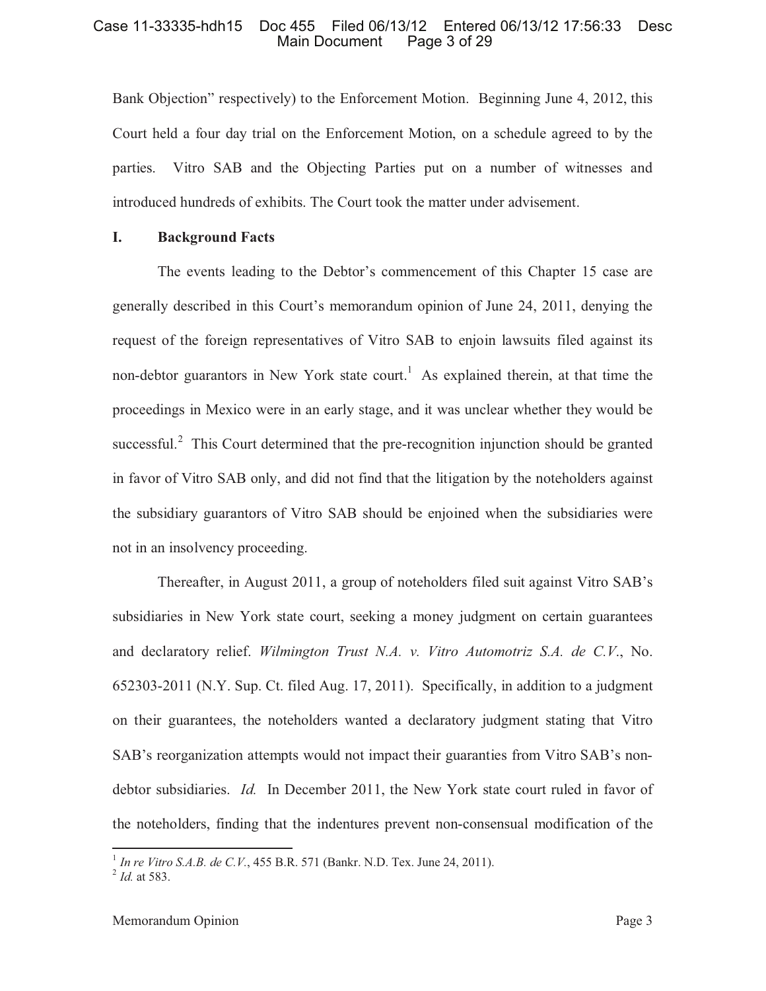Bank Objection" respectively) to the Enforcement Motion. Beginning June 4, 2012, this Court held a four day trial on the Enforcement Motion, on a schedule agreed to by the parties. Vitro SAB and the Objecting Parties put on a number of witnesses and introduced hundreds of exhibits. The Court took the matter under advisement.

# **I. Background Facts**

The events leading to the Debtor's commencement of this Chapter 15 case are generally described in this Court's memorandum opinion of June 24, 2011, denying the request of the foreign representatives of Vitro SAB to enjoin lawsuits filed against its non-debtor guarantors in New York state court.<sup>1</sup> As explained therein, at that time the proceedings in Mexico were in an early stage, and it was unclear whether they would be successful. $2$  This Court determined that the pre-recognition injunction should be granted in favor of Vitro SAB only, and did not find that the litigation by the noteholders against the subsidiary guarantors of Vitro SAB should be enjoined when the subsidiaries were not in an insolvency proceeding.

Thereafter, in August 2011, a group of noteholders filed suit against Vitro SAB's subsidiaries in New York state court, seeking a money judgment on certain guarantees and declaratory relief. *Wilmington Trust N.A. v. Vitro Automotriz S.A. de C.V*., No. 652303-2011 (N.Y. Sup. Ct. filed Aug. 17, 2011). Specifically, in addition to a judgment on their guarantees, the noteholders wanted a declaratory judgment stating that Vitro SAB's reorganization attempts would not impact their guaranties from Vitro SAB's nondebtor subsidiaries. *Id.* In December 2011, the New York state court ruled in favor of the noteholders, finding that the indentures prevent non-consensual modification of the

<sup>&</sup>lt;sup>1</sup> In re Vitro S.A.B. de C.V., 455 B.R. 571 (Bankr. N.D. Tex. June 24, 2011).<br><sup>2</sup> Id. at 583.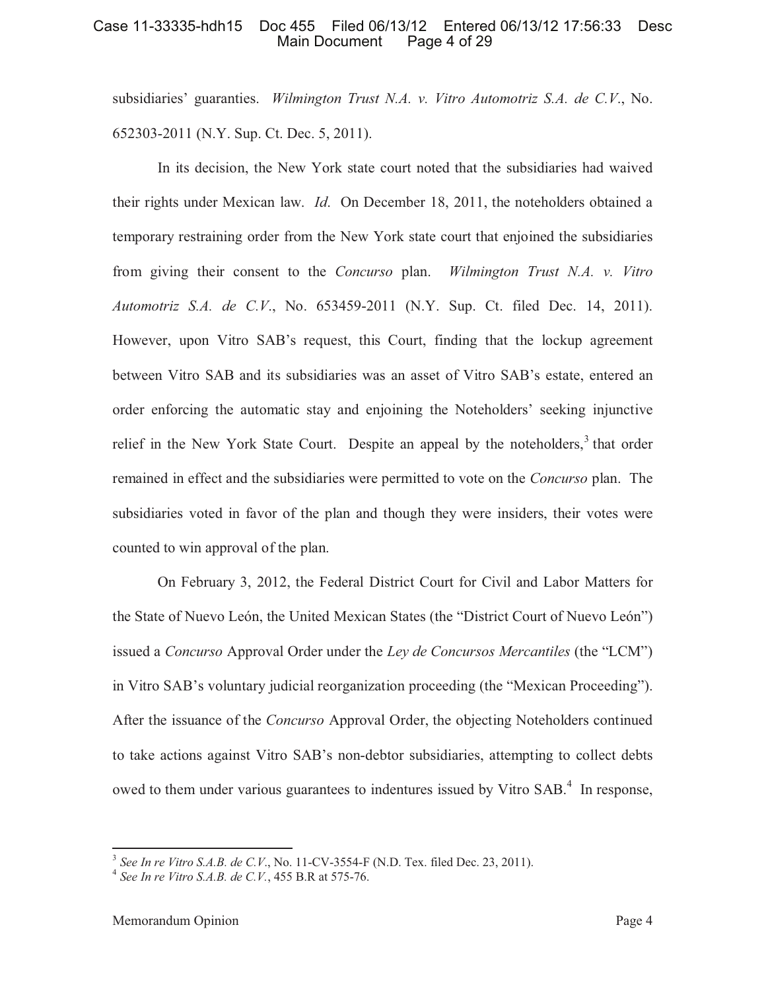subsidiaries' guaranties. *Wilmington Trust N.A. v. Vitro Automotriz S.A. de C.V*., No. 652303-2011 (N.Y. Sup. Ct. Dec. 5, 2011).

In its decision, the New York state court noted that the subsidiaries had waived their rights under Mexican law. *Id*. On December 18, 2011, the noteholders obtained a temporary restraining order from the New York state court that enjoined the subsidiaries from giving their consent to the *Concurso* plan. *Wilmington Trust N.A. v. Vitro Automotriz S.A. de C.V*., No. 653459-2011 (N.Y. Sup. Ct. filed Dec. 14, 2011). However, upon Vitro SAB's request, this Court, finding that the lockup agreement between Vitro SAB and its subsidiaries was an asset of Vitro SAB's estate, entered an order enforcing the automatic stay and enjoining the Noteholders' seeking injunctive relief in the New York State Court. Despite an appeal by the noteholders, $3$  that order remained in effect and the subsidiaries were permitted to vote on the *Concurso* plan. The subsidiaries voted in favor of the plan and though they were insiders, their votes were counted to win approval of the plan.

On February 3, 2012, the Federal District Court for Civil and Labor Matters for the State of Nuevo León, the United Mexican States (the "District Court of Nuevo León") issued a *Concurso* Approval Order under the *Ley de Concursos Mercantiles* (the "LCM") in Vitro SAB's voluntary judicial reorganization proceeding (the "Mexican Proceeding"). After the issuance of the *Concurso* Approval Order, the objecting Noteholders continued to take actions against Vitro SAB's non-debtor subsidiaries, attempting to collect debts owed to them under various guarantees to indentures issued by Vitro SAB.<sup>4</sup> In response,

<sup>3</sup> *See In re Vitro S.A.B. de C.V*., No. 11-CV-3554-F (N.D. Tex. filed Dec. 23, 2011).

<sup>4</sup> *See In re Vitro S.A.B. de C.V.*, 455 B.R at 575-76.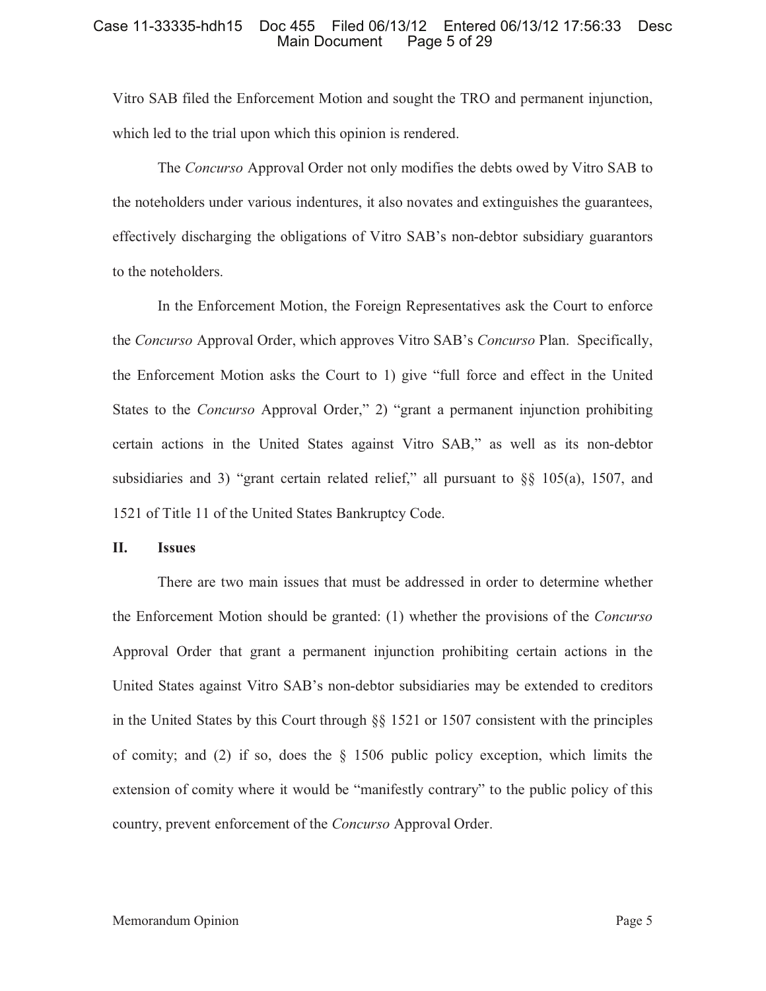Vitro SAB filed the Enforcement Motion and sought the TRO and permanent injunction, which led to the trial upon which this opinion is rendered.

The *Concurso* Approval Order not only modifies the debts owed by Vitro SAB to the noteholders under various indentures, it also novates and extinguishes the guarantees, effectively discharging the obligations of Vitro SAB's non-debtor subsidiary guarantors to the noteholders.

In the Enforcement Motion, the Foreign Representatives ask the Court to enforce the *Concurso* Approval Order, which approves Vitro SAB's *Concurso* Plan. Specifically, the Enforcement Motion asks the Court to 1) give "full force and effect in the United States to the *Concurso* Approval Order," 2) "grant a permanent injunction prohibiting certain actions in the United States against Vitro SAB," as well as its non-debtor subsidiaries and 3) "grant certain related relief," all pursuant to §§ 105(a), 1507, and 1521 of Title 11 of the United States Bankruptcy Code.

#### **II. Issues**

There are two main issues that must be addressed in order to determine whether the Enforcement Motion should be granted: (1) whether the provisions of the *Concurso* Approval Order that grant a permanent injunction prohibiting certain actions in the United States against Vitro SAB's non-debtor subsidiaries may be extended to creditors in the United States by this Court through  $\S$ § 1521 or 1507 consistent with the principles of comity; and (2) if so, does the  $\S$  1506 public policy exception, which limits the extension of comity where it would be "manifestly contrary" to the public policy of this country, prevent enforcement of the *Concurso* Approval Order.

#### Memorandum Opinion **Page 5** and the page 5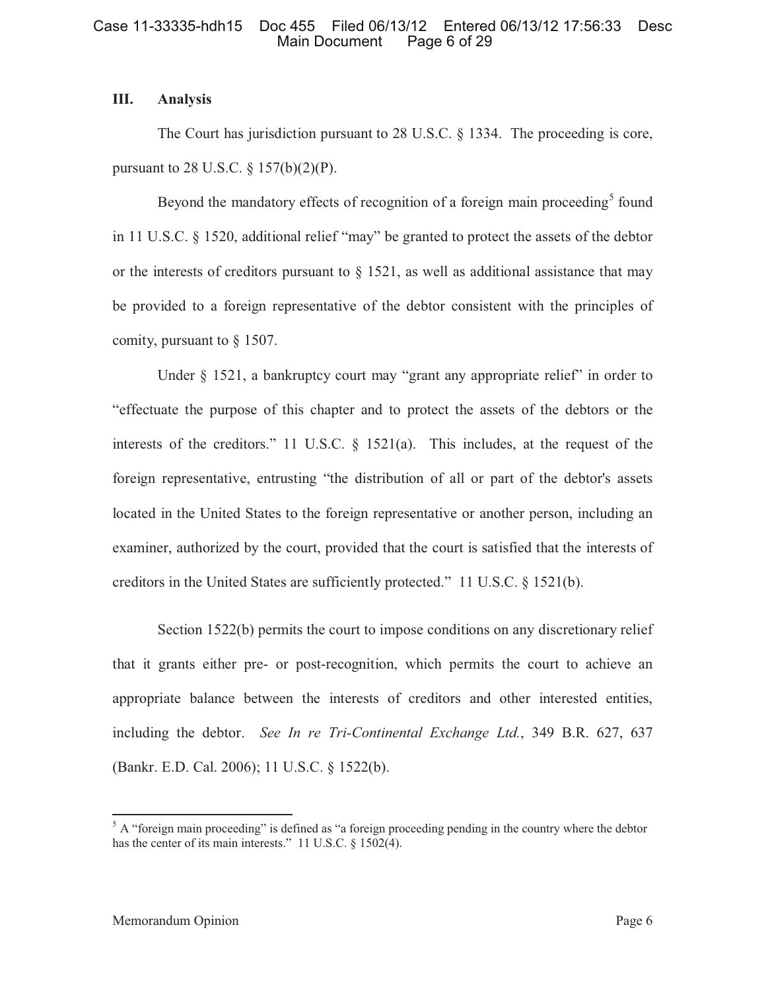# **III. Analysis**

The Court has jurisdiction pursuant to 28 U.S.C. § 1334. The proceeding is core, pursuant to 28 U.S.C.  $\S 157(b)(2)(P)$ .

Beyond the mandatory effects of recognition of a foreign main proceeding<sup>5</sup> found in 11 U.S.C. § 1520, additional relief "may" be granted to protect the assets of the debtor or the interests of creditors pursuant to  $\S$  1521, as well as additional assistance that may be provided to a foreign representative of the debtor consistent with the principles of comity, pursuant to  $\S$  1507.

Under § 1521, a bankruptcy court may "grant any appropriate relief" in order to "effectuate the purpose of this chapter and to protect the assets of the debtors or the interests of the creditors." 11 U.S.C. § 1521(a). This includes, at the request of the foreign representative, entrusting "the distribution of all or part of the debtor's assets located in the United States to the foreign representative or another person, including an examiner, authorized by the court, provided that the court is satisfied that the interests of creditors in the United States are sufficiently protected." 11 U.S.C. § 1521(b).

Section 1522(b) permits the court to impose conditions on any discretionary relief that it grants either pre- or post-recognition, which permits the court to achieve an appropriate balance between the interests of creditors and other interested entities, including the debtor. *See In re Tri-Continental Exchange Ltd.*, 349 B.R. 627, 637 (Bankr. E.D. Cal. 2006); 11 U.S.C. § 1522(b).

 $<sup>5</sup>$  A "foreign main proceeding" is defined as "a foreign proceeding pending in the country where the debtor</sup> has the center of its main interests." 11 U.S.C. § 1502(4).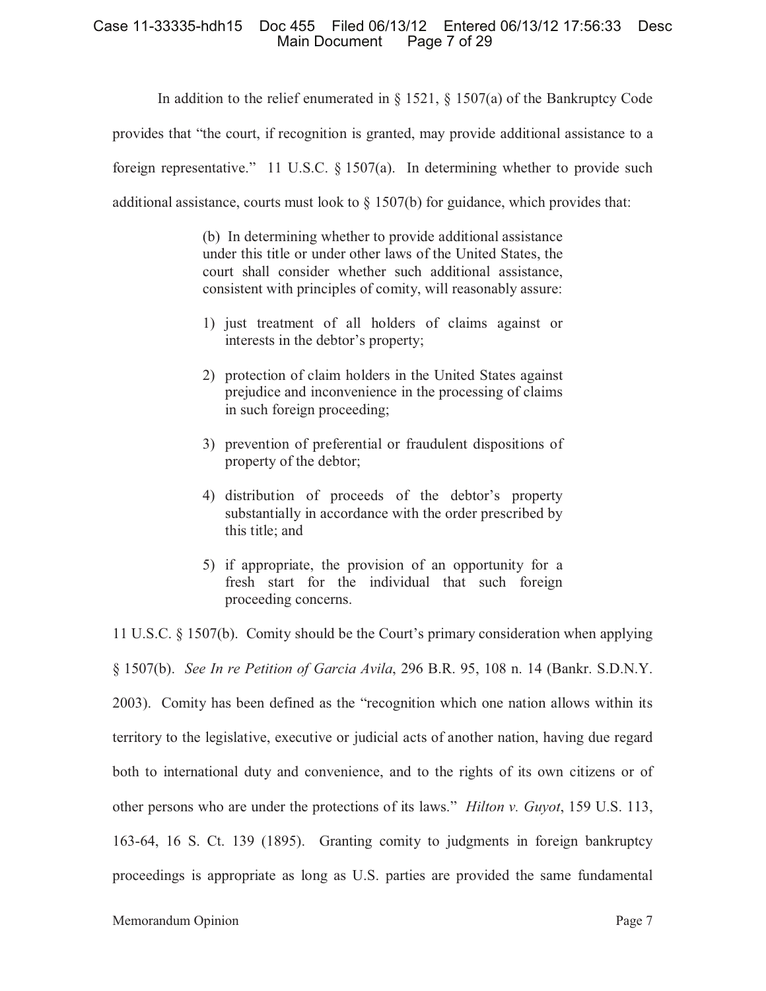In addition to the relief enumerated in  $\S 1521$ ,  $\S 1507(a)$  of the Bankruptcy Code

provides that "the court, if recognition is granted, may provide additional assistance to a

foreign representative." 11 U.S.C. § 1507(a). In determining whether to provide such

additional assistance, courts must look to  $\S 1507(b)$  for guidance, which provides that:

(b) In determining whether to provide additional assistance under this title or under other laws of the United States, the court shall consider whether such additional assistance, consistent with principles of comity, will reasonably assure:

- 1) just treatment of all holders of claims against or interests in the debtor's property;
- 2) protection of claim holders in the United States against prejudice and inconvenience in the processing of claims in such foreign proceeding;
- 3) prevention of preferential or fraudulent dispositions of property of the debtor;
- 4) distribution of proceeds of the debtor's property substantially in accordance with the order prescribed by this title; and
- 5) if appropriate, the provision of an opportunity for a fresh start for the individual that such foreign proceeding concerns.

11 U.S.C. § 1507(b). Comity should be the Court's primary consideration when applying § 1507(b). *See In re Petition of Garcia Avila*, 296 B.R. 95, 108 n. 14 (Bankr. S.D.N.Y. 2003). Comity has been defined as the "recognition which one nation allows within its territory to the legislative, executive or judicial acts of another nation, having due regard both to international duty and convenience, and to the rights of its own citizens or of other persons who are under the protections of its laws." *Hilton v. Guyot*, 159 U.S. 113, 163-64, 16 S. Ct. 139 (1895). Granting comity to judgments in foreign bankruptcy proceedings is appropriate as long as U.S. parties are provided the same fundamental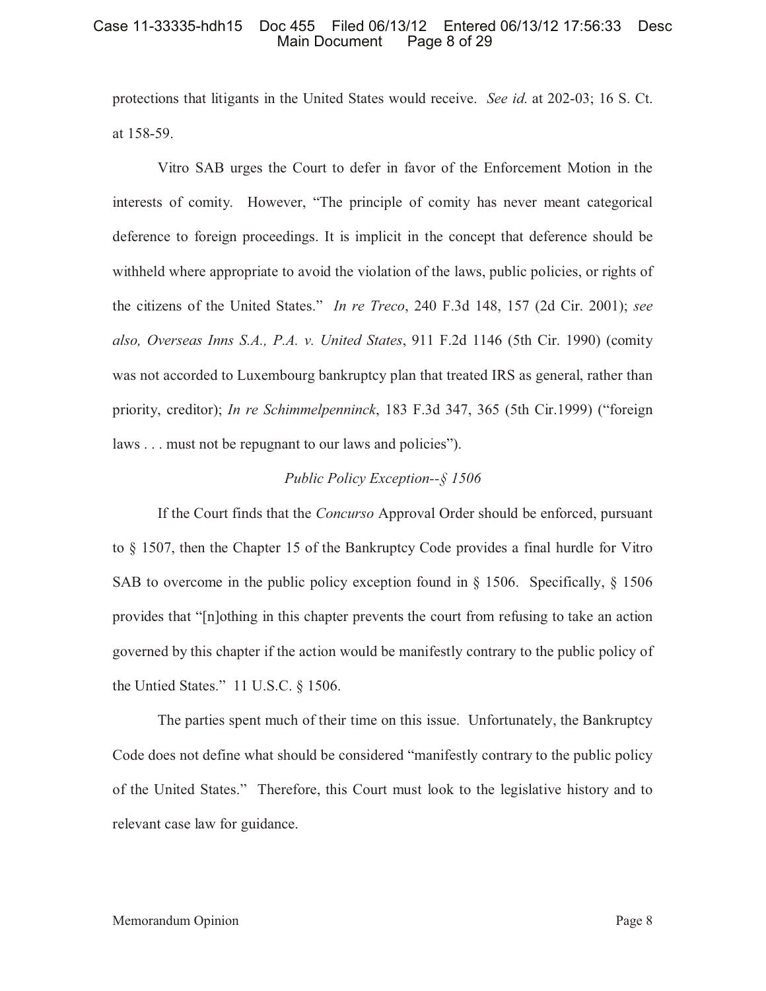protections that litigants in the United States would receive. *See id*. at 202-03; 16 S. Ct. at 158-59.

Vitro SAB urges the Court to defer in favor of the Enforcement Motion in the interests of comity. However, "The principle of comity has never meant categorical deference to foreign proceedings. It is implicit in the concept that deference should be withheld where appropriate to avoid the violation of the laws, public policies, or rights of the citizens of the United States." *In re Treco*, 240 F.3d 148, 157 (2d Cir. 2001); *see also, Overseas Inns S.A., P.A. v. United States*, 911 F.2d 1146 (5th Cir. 1990) (comity was not accorded to Luxembourg bankruptcy plan that treated IRS as general, rather than priority, creditor); *In re Schimmelpenninck*, 183 F.3d 347, 365 (5th Cir.1999) ("foreign laws . . . must not be repugnant to our laws and policies").

# *Public Policy Exception--§ 1506*

If the Court finds that the *Concurso* Approval Order should be enforced, pursuant to § 1507, then the Chapter 15 of the Bankruptcy Code provides a final hurdle for Vitro SAB to overcome in the public policy exception found in  $\S$  1506. Specifically,  $\S$  1506 provides that "[n]othing in this chapter prevents the court from refusing to take an action governed by this chapter if the action would be manifestly contrary to the public policy of the Untied States." 11 U.S.C. § 1506.

The parties spent much of their time on this issue. Unfortunately, the Bankruptcy Code does not define what should be considered "manifestly contrary to the public policy of the United States." Therefore, this Court must look to the legislative history and to relevant case law for guidance.

#### Memorandum Opinion **Page 8**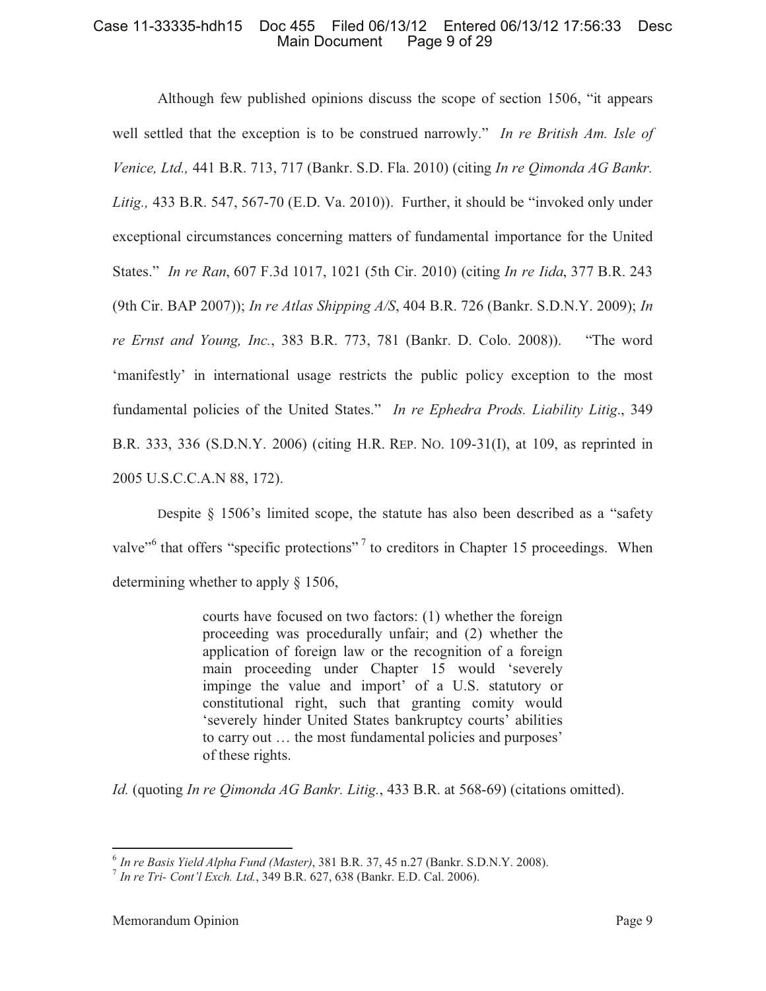Although few published opinions discuss the scope of section 1506, "it appears well settled that the exception is to be construed narrowly." *In re British Am. Isle of Venice, Ltd.,* 441 B.R. 713, 717 (Bankr. S.D. Fla. 2010) (citing *In re Qimonda AG Bankr. Litig.,* 433 B.R. 547, 567-70 (E.D. Va. 2010)). Further, it should be "invoked only under exceptional circumstances concerning matters of fundamental importance for the United States." *In re Ran*, 607 F.3d 1017, 1021 (5th Cir. 2010) (citing *In re Iida*, 377 B.R. 243 (9th Cir. BAP 2007)); *In re Atlas Shipping A/S*, 404 B.R. 726 (Bankr. S.D.N.Y. 2009); *In re Ernst and Young, Inc.*, 383 B.R. 773, 781 (Bankr. D. Colo. 2008)). "The word 'manifestly' in international usage restricts the public policy exception to the most fundamental policies of the United States." *In re Ephedra Prods. Liability Litig*., 349 B.R. 333, 336 (S.D.N.Y. 2006) (citing H.R. REP. NO. 109-31(I), at 109, as reprinted in 2005 U.S.C.C.A.N 88, 172).

Despite § 1506's limited scope, the statute has also been described as a "safety valve<sup>"6</sup> that offers "specific protections"<sup>7</sup> to creditors in Chapter 15 proceedings. When determining whether to apply § 1506,

> courts have focused on two factors: (1) whether the foreign proceeding was procedurally unfair; and (2) whether the application of foreign law or the recognition of a foreign main proceeding under Chapter 15 would 'severely impinge the value and import' of a U.S. statutory or constitutional right, such that granting comity would 'severely hinder United States bankruptcy courts' abilities to carry out … the most fundamental policies and purposes' of these rights.

*Id.* (quoting *In re Qimonda AG Bankr. Litig.*, 433 B.R. at 568-69) (citations omitted).

<sup>6</sup> *In re Basis Yield Alpha Fund (Master)*, 381 B.R. 37, 45 n.27 (Bankr. S.D.N.Y. 2008).

<sup>7</sup> *In re Tri- Cont'l Exch. Ltd.*, 349 B.R. 627, 638 (Bankr. E.D. Cal. 2006).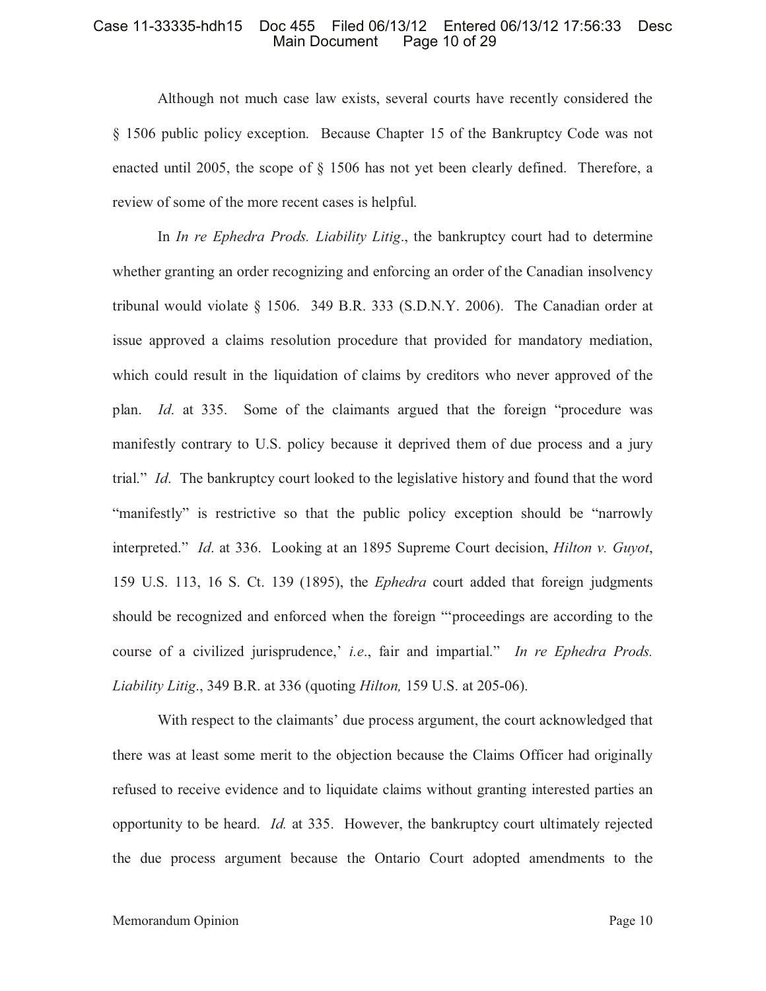Although not much case law exists, several courts have recently considered the § 1506 public policy exception. Because Chapter 15 of the Bankruptcy Code was not enacted until 2005, the scope of § 1506 has not yet been clearly defined. Therefore, a review of some of the more recent cases is helpful.

In *In re Ephedra Prods. Liability Litig*., the bankruptcy court had to determine whether granting an order recognizing and enforcing an order of the Canadian insolvency tribunal would violate § 1506. 349 B.R. 333 (S.D.N.Y. 2006). The Canadian order at issue approved a claims resolution procedure that provided for mandatory mediation, which could result in the liquidation of claims by creditors who never approved of the plan. *Id*. at 335. Some of the claimants argued that the foreign "procedure was manifestly contrary to U.S. policy because it deprived them of due process and a jury trial." *Id*. The bankruptcy court looked to the legislative history and found that the word "manifestly" is restrictive so that the public policy exception should be "narrowly interpreted." *Id*. at 336. Looking at an 1895 Supreme Court decision, *Hilton v. Guyot*, 159 U.S. 113, 16 S. Ct. 139 (1895), the *Ephedra* court added that foreign judgments should be recognized and enforced when the foreign "'proceedings are according to the course of a civilized jurisprudence,' *i.e*., fair and impartial." *In re Ephedra Prods. Liability Litig*., 349 B.R. at 336 (quoting *Hilton,* 159 U.S. at 205-06).

With respect to the claimants' due process argument, the court acknowledged that there was at least some merit to the objection because the Claims Officer had originally refused to receive evidence and to liquidate claims without granting interested parties an opportunity to be heard. *Id.* at 335. However, the bankruptcy court ultimately rejected the due process argument because the Ontario Court adopted amendments to the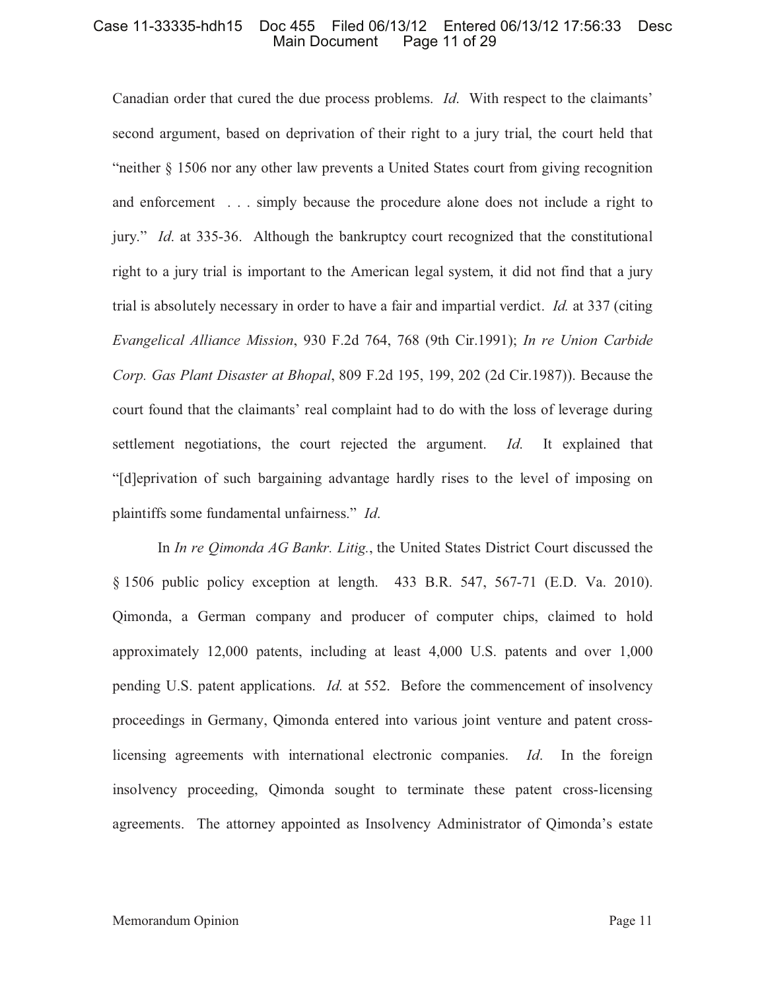Canadian order that cured the due process problems. *Id*. With respect to the claimants' second argument, based on deprivation of their right to a jury trial, the court held that "neither § 1506 nor any other law prevents a United States court from giving recognition and enforcement . . . simply because the procedure alone does not include a right to jury." *Id*. at 335-36. Although the bankruptcy court recognized that the constitutional right to a jury trial is important to the American legal system, it did not find that a jury trial is absolutely necessary in order to have a fair and impartial verdict. *Id.* at 337 (citing *Evangelical Alliance Mission*, 930 F.2d 764, 768 (9th Cir.1991); *In re Union Carbide Corp. Gas Plant Disaster at Bhopal*, 809 F.2d 195, 199, 202 (2d Cir.1987)). Because the court found that the claimants' real complaint had to do with the loss of leverage during settlement negotiations, the court rejected the argument. *Id*. It explained that "[d]eprivation of such bargaining advantage hardly rises to the level of imposing on plaintiffs some fundamental unfairness." *Id*.

In *In re Qimonda AG Bankr. Litig.*, the United States District Court discussed the § 1506 public policy exception at length. 433 B.R. 547, 567-71 (E.D. Va. 2010). Qimonda, a German company and producer of computer chips, claimed to hold approximately 12,000 patents, including at least 4,000 U.S. patents and over 1,000 pending U.S. patent applications. *Id*. at 552. Before the commencement of insolvency proceedings in Germany, Qimonda entered into various joint venture and patent crosslicensing agreements with international electronic companies. *Id*. In the foreign insolvency proceeding, Qimonda sought to terminate these patent cross-licensing agreements. The attorney appointed as Insolvency Administrator of Qimonda's estate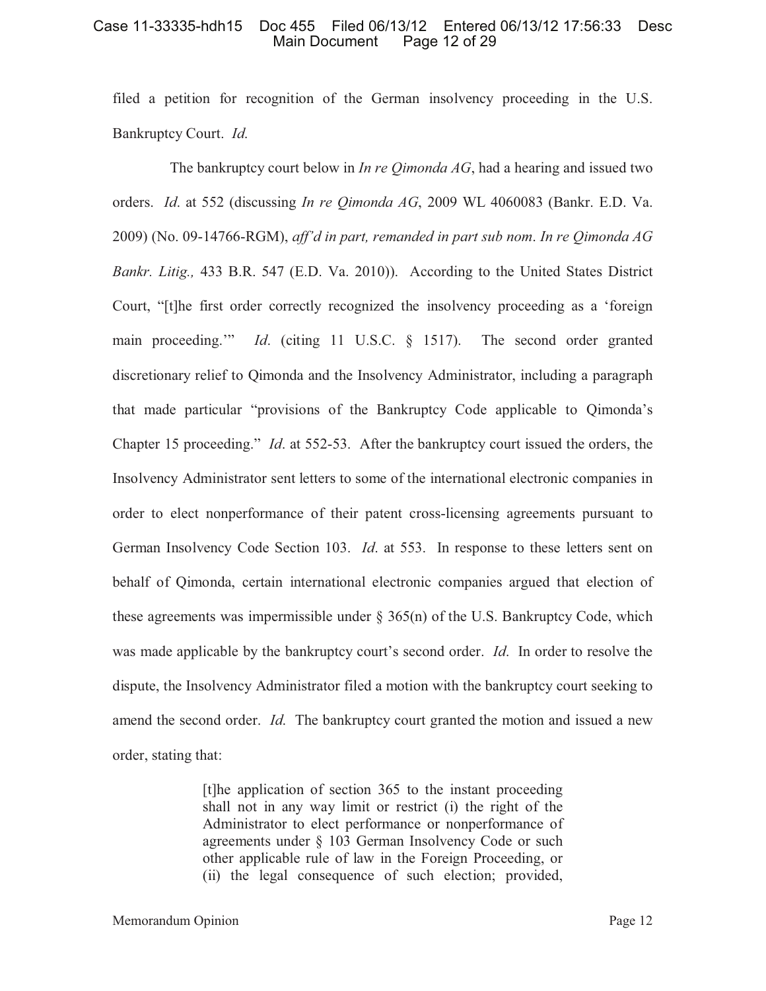filed a petition for recognition of the German insolvency proceeding in the U.S. Bankruptcy Court. *Id*.

The bankruptcy court below in *In re Qimonda AG*, had a hearing and issued two orders. *Id*. at 552 (discussing *In re Qimonda AG*, 2009 WL 4060083 (Bankr. E.D. Va. 2009) (No. 09-14766-RGM), *aff'd in part, remanded in part sub nom*. *In re Qimonda AG Bankr. Litig.,* 433 B.R. 547 (E.D. Va. 2010)). According to the United States District Court, "[t]he first order correctly recognized the insolvency proceeding as a 'foreign main proceeding.'" *Id*. (citing 11 U.S.C. § 1517). The second order granted discretionary relief to Qimonda and the Insolvency Administrator, including a paragraph that made particular "provisions of the Bankruptcy Code applicable to Qimonda's Chapter 15 proceeding." *Id*. at 552-53. After the bankruptcy court issued the orders, the Insolvency Administrator sent letters to some of the international electronic companies in order to elect nonperformance of their patent cross-licensing agreements pursuant to German Insolvency Code Section 103. *Id*. at 553. In response to these letters sent on behalf of Qimonda, certain international electronic companies argued that election of these agreements was impermissible under  $\S$  365(n) of the U.S. Bankruptcy Code, which was made applicable by the bankruptcy court's second order. *Id*. In order to resolve the dispute, the Insolvency Administrator filed a motion with the bankruptcy court seeking to amend the second order. *Id*. The bankruptcy court granted the motion and issued a new order, stating that:

> [t]he application of section 365 to the instant proceeding shall not in any way limit or restrict (i) the right of the Administrator to elect performance or nonperformance of agreements under § 103 German Insolvency Code or such other applicable rule of law in the Foreign Proceeding, or (ii) the legal consequence of such election; provided,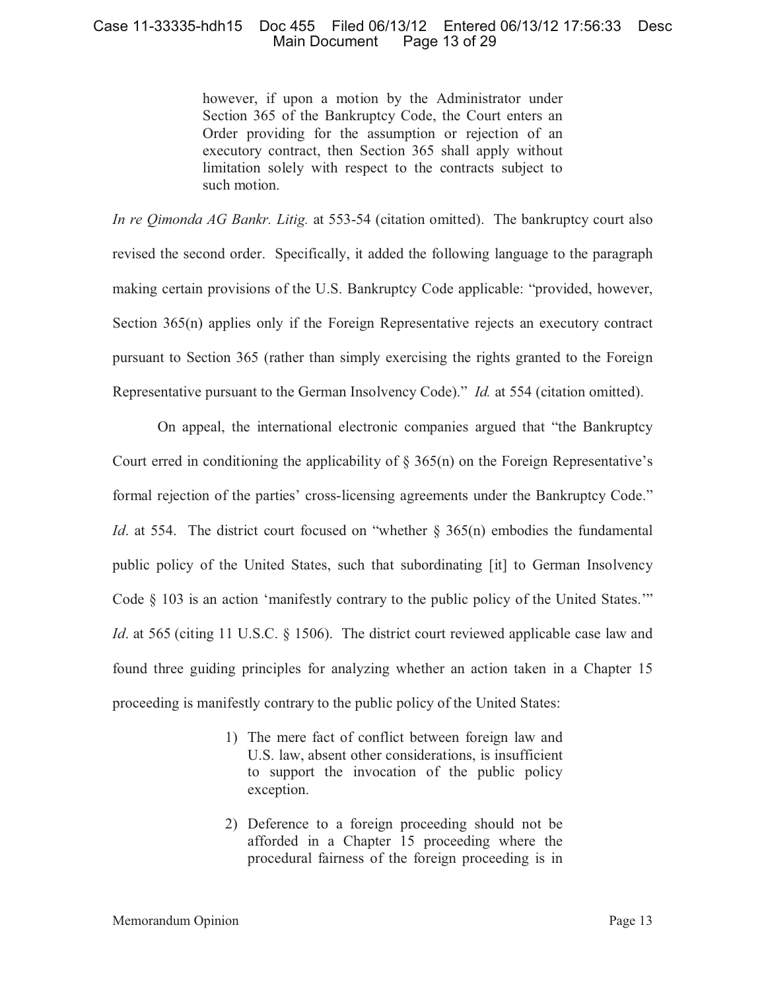however, if upon a motion by the Administrator under Section 365 of the Bankruptcy Code, the Court enters an Order providing for the assumption or rejection of an executory contract, then Section 365 shall apply without limitation solely with respect to the contracts subject to such motion.

*In re Qimonda AG Bankr. Litig.* at 553-54 (citation omitted). The bankruptcy court also revised the second order. Specifically, it added the following language to the paragraph making certain provisions of the U.S. Bankruptcy Code applicable: "provided, however, Section 365(n) applies only if the Foreign Representative rejects an executory contract pursuant to Section 365 (rather than simply exercising the rights granted to the Foreign Representative pursuant to the German Insolvency Code)." *Id.* at 554 (citation omitted).

On appeal, the international electronic companies argued that "the Bankruptcy Court erred in conditioning the applicability of  $\S$  365(n) on the Foreign Representative's formal rejection of the parties' cross-licensing agreements under the Bankruptcy Code." *Id*. at 554. The district court focused on "whether § 365(n) embodies the fundamental public policy of the United States, such that subordinating [it] to German Insolvency Code § 103 is an action 'manifestly contrary to the public policy of the United States.'" *Id.* at 565 (citing 11 U.S.C. § 1506). The district court reviewed applicable case law and found three guiding principles for analyzing whether an action taken in a Chapter 15 proceeding is manifestly contrary to the public policy of the United States:

- 1) The mere fact of conflict between foreign law and U.S. law, absent other considerations, is insufficient to support the invocation of the public policy exception.
- 2) Deference to a foreign proceeding should not be afforded in a Chapter 15 proceeding where the procedural fairness of the foreign proceeding is in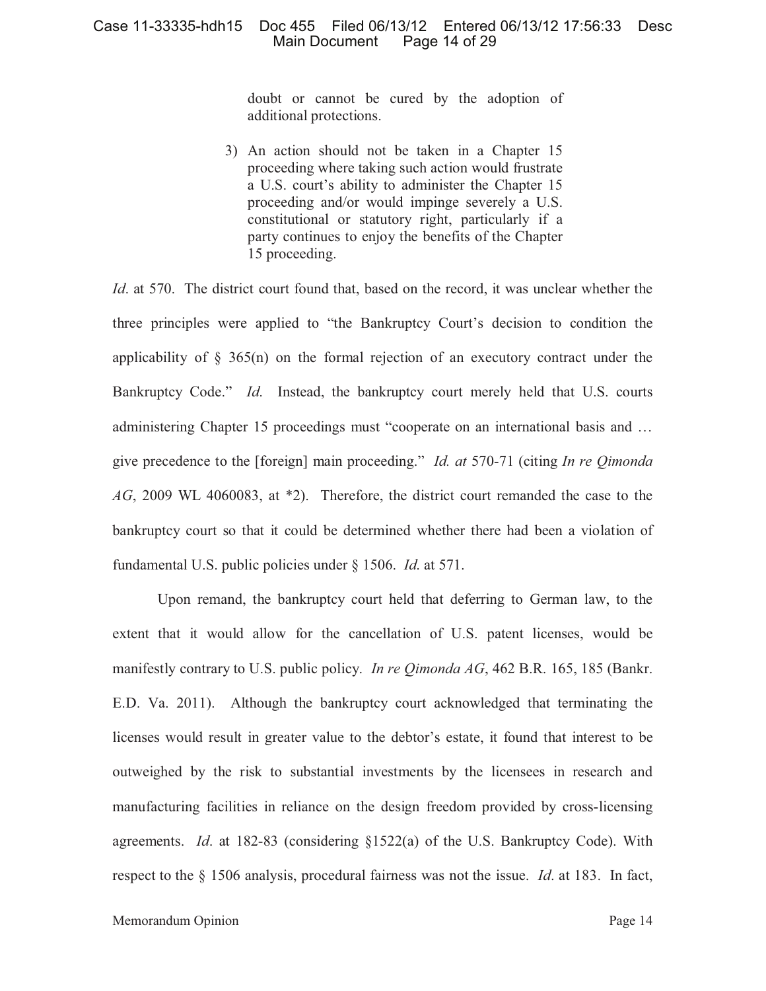doubt or cannot be cured by the adoption of additional protections.

3) An action should not be taken in a Chapter 15 proceeding where taking such action would frustrate a U.S. court's ability to administer the Chapter 15 proceeding and/or would impinge severely a U.S. constitutional or statutory right, particularly if a party continues to enjoy the benefits of the Chapter 15 proceeding.

*Id*. at 570. The district court found that, based on the record, it was unclear whether the three principles were applied to "the Bankruptcy Court's decision to condition the applicability of  $\S$  365(n) on the formal rejection of an executory contract under the Bankruptcy Code." *Id*. Instead, the bankruptcy court merely held that U.S. courts administering Chapter 15 proceedings must "cooperate on an international basis and … give precedence to the [foreign] main proceeding." *Id. at* 570-71 (citing *In re Qimonda AG*, 2009 WL 4060083, at \*2). Therefore, the district court remanded the case to the bankruptcy court so that it could be determined whether there had been a violation of fundamental U.S. public policies under § 1506. *Id*. at 571.

Upon remand, the bankruptcy court held that deferring to German law, to the extent that it would allow for the cancellation of U.S. patent licenses, would be manifestly contrary to U.S. public policy. *In re Qimonda AG*, 462 B.R. 165, 185 (Bankr. E.D. Va. 2011). Although the bankruptcy court acknowledged that terminating the licenses would result in greater value to the debtor's estate, it found that interest to be outweighed by the risk to substantial investments by the licensees in research and manufacturing facilities in reliance on the design freedom provided by cross-licensing agreements. *Id*. at 182-83 (considering §1522(a) of the U.S. Bankruptcy Code). With respect to the § 1506 analysis, procedural fairness was not the issue. *Id*. at 183. In fact,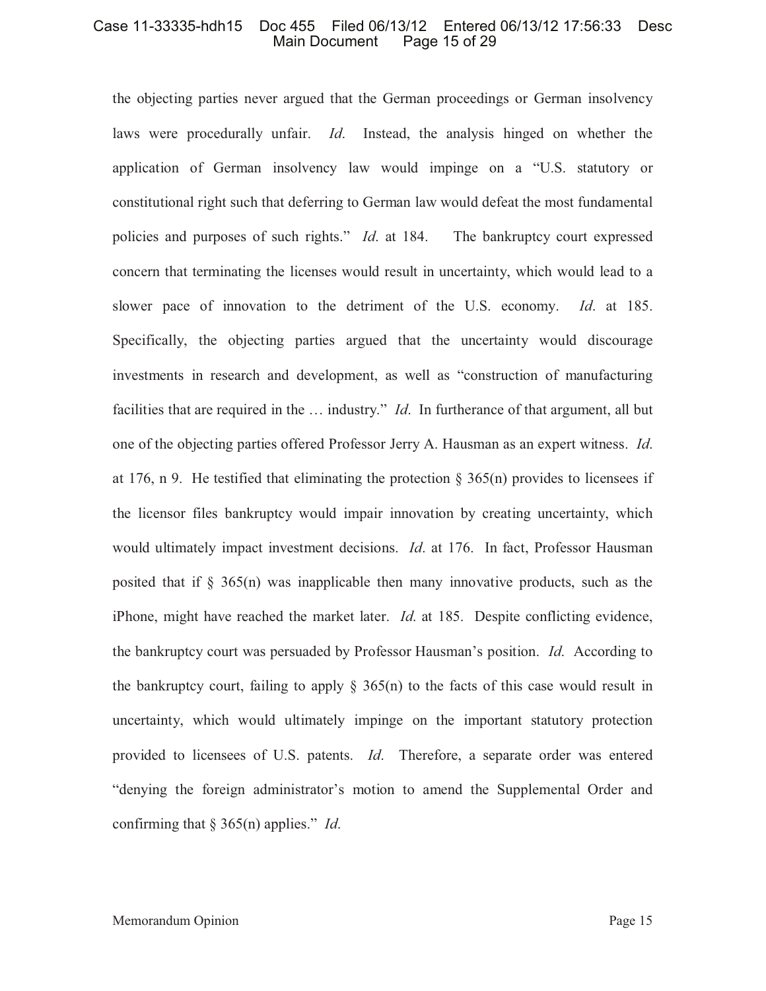the objecting parties never argued that the German proceedings or German insolvency laws were procedurally unfair. *Id*. Instead, the analysis hinged on whether the application of German insolvency law would impinge on a "U.S. statutory or constitutional right such that deferring to German law would defeat the most fundamental policies and purposes of such rights." *Id*. at 184. The bankruptcy court expressed concern that terminating the licenses would result in uncertainty, which would lead to a slower pace of innovation to the detriment of the U.S. economy. *Id*. at 185. Specifically, the objecting parties argued that the uncertainty would discourage investments in research and development, as well as "construction of manufacturing facilities that are required in the … industry." *Id*. In furtherance of that argument, all but one of the objecting parties offered Professor Jerry A. Hausman as an expert witness. *Id*. at 176, n 9. He testified that eliminating the protection  $\S 365(n)$  provides to licensees if the licensor files bankruptcy would impair innovation by creating uncertainty, which would ultimately impact investment decisions. *Id*. at 176. In fact, Professor Hausman posited that if  $\S$  365(n) was inapplicable then many innovative products, such as the iPhone, might have reached the market later. *Id*. at 185. Despite conflicting evidence, the bankruptcy court was persuaded by Professor Hausman's position. *Id*. According to the bankruptcy court, failing to apply  $\S 365(n)$  to the facts of this case would result in uncertainty, which would ultimately impinge on the important statutory protection provided to licensees of U.S. patents. *Id*. Therefore, a separate order was entered "denying the foreign administrator's motion to amend the Supplemental Order and confirming that § 365(n) applies." *Id*.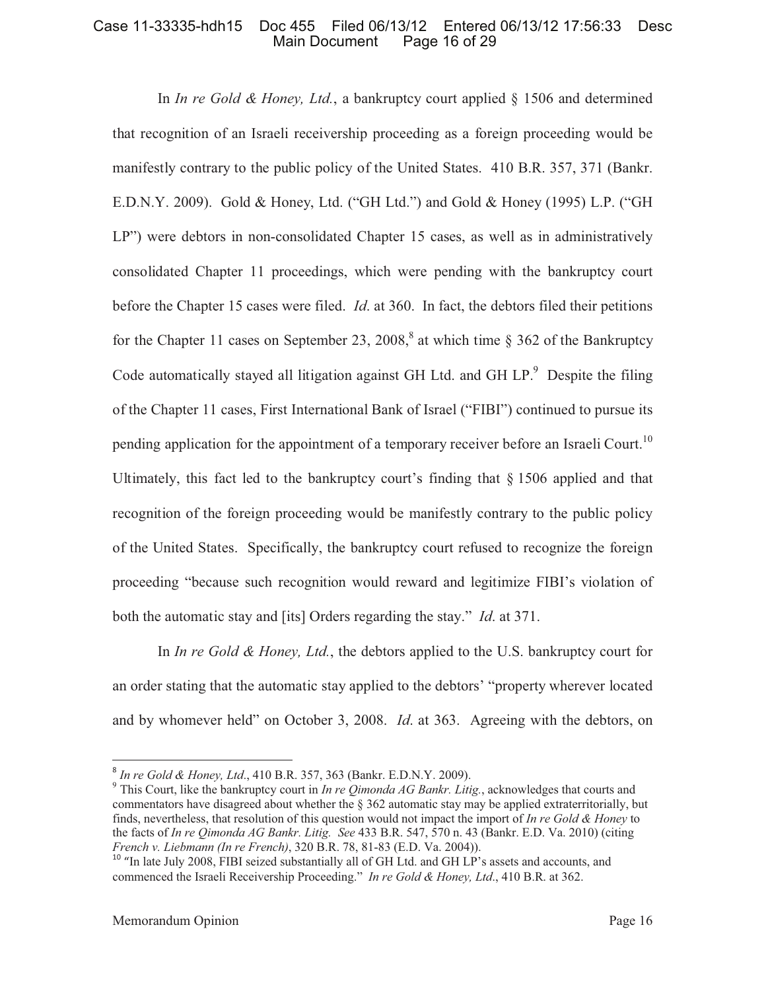In *In re Gold & Honey, Ltd.*, a bankruptcy court applied § 1506 and determined that recognition of an Israeli receivership proceeding as a foreign proceeding would be manifestly contrary to the public policy of the United States. 410 B.R. 357, 371 (Bankr. E.D.N.Y. 2009). Gold & Honey, Ltd. ("GH Ltd.") and Gold & Honey (1995) L.P. ("GH LP") were debtors in non-consolidated Chapter 15 cases, as well as in administratively consolidated Chapter 11 proceedings, which were pending with the bankruptcy court before the Chapter 15 cases were filed. *Id*. at 360. In fact, the debtors filed their petitions for the Chapter 11 cases on September 23, 2008,<sup>8</sup> at which time  $\S 362$  of the Bankruptcy Code automatically stayed all litigation against GH Ltd. and GH  $LP$ . Despite the filing of the Chapter 11 cases, First International Bank of Israel ("FIBI") continued to pursue its pending application for the appointment of a temporary receiver before an Israeli Court.<sup>10</sup> Ultimately, this fact led to the bankruptcy court's finding that § 1506 applied and that recognition of the foreign proceeding would be manifestly contrary to the public policy of the United States. Specifically, the bankruptcy court refused to recognize the foreign proceeding "because such recognition would reward and legitimize FIBI's violation of both the automatic stay and [its] Orders regarding the stay." *Id*. at 371.

In *In re Gold & Honey, Ltd.*, the debtors applied to the U.S. bankruptcy court for an order stating that the automatic stay applied to the debtors' "property wherever located and by whomever held" on October 3, 2008. *Id*. at 363. Agreeing with the debtors, on

<sup>8</sup> *In re Gold & Honey, Ltd*., 410 B.R. 357, 363 (Bankr. E.D.N.Y. 2009).

<sup>9</sup> This Court, like the bankruptcy court in *In re Qimonda AG Bankr. Litig.*, acknowledges that courts and commentators have disagreed about whether the § 362 automatic stay may be applied extraterritorially, but finds, nevertheless, that resolution of this question would not impact the import of *In re Gold & Honey* to the facts of *In re Qimonda AG Bankr. Litig. See* 433 B.R. 547, 570 n. 43 (Bankr. E.D. Va. 2010) (citing *French v. Liebmann (In re French)*, 320 B.R. 78, 81-83 (E.D. Va. 2004)).

<sup>&</sup>lt;sup>10</sup> "In late July 2008, FIBI seized substantially all of GH Ltd. and GH LP's assets and accounts, and commenced the Israeli Receivership Proceeding." *In re Gold & Honey, Ltd*., 410 B.R. at 362.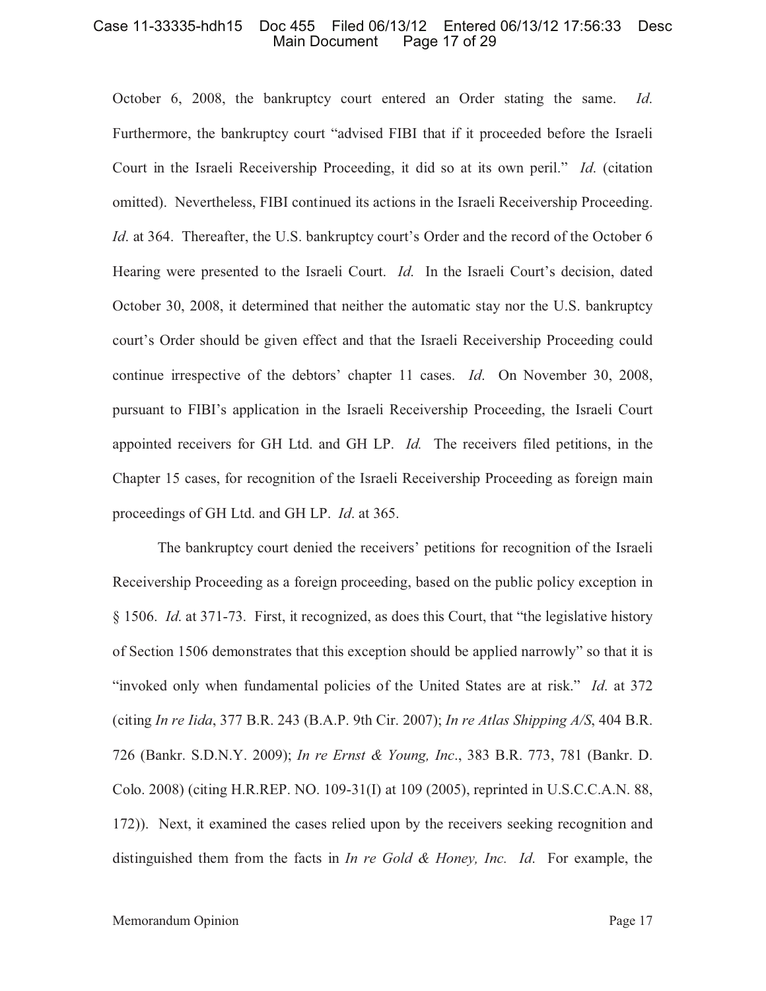October 6, 2008, the bankruptcy court entered an Order stating the same. *Id*. Furthermore, the bankruptcy court "advised FIBI that if it proceeded before the Israeli Court in the Israeli Receivership Proceeding, it did so at its own peril." *Id*. (citation omitted). Nevertheless, FIBI continued its actions in the Israeli Receivership Proceeding. *Id.* at 364. Thereafter, the U.S. bankruptcy court's Order and the record of the October 6 Hearing were presented to the Israeli Court. *Id*. In the Israeli Court's decision, dated October 30, 2008, it determined that neither the automatic stay nor the U.S. bankruptcy court's Order should be given effect and that the Israeli Receivership Proceeding could continue irrespective of the debtors' chapter 11 cases. *Id*. On November 30, 2008, pursuant to FIBI's application in the Israeli Receivership Proceeding, the Israeli Court appointed receivers for GH Ltd. and GH LP. *Id.* The receivers filed petitions, in the Chapter 15 cases, for recognition of the Israeli Receivership Proceeding as foreign main proceedings of GH Ltd. and GH LP. *Id*. at 365.

The bankruptcy court denied the receivers' petitions for recognition of the Israeli Receivership Proceeding as a foreign proceeding, based on the public policy exception in § 1506. *Id*. at 371-73. First, it recognized, as does this Court, that "the legislative history of Section 1506 demonstrates that this exception should be applied narrowly" so that it is "invoked only when fundamental policies of the United States are at risk." *Id*. at 372 (citing *In re Iida*, 377 B.R. 243 (B.A.P. 9th Cir. 2007); *In re Atlas Shipping A/S*, 404 B.R. 726 (Bankr. S.D.N.Y. 2009); *In re Ernst & Young, Inc*., 383 B.R. 773, 781 (Bankr. D. Colo. 2008) (citing H.R.REP. NO. 109-31(I) at 109 (2005), reprinted in U.S.C.C.A.N. 88, 172)). Next, it examined the cases relied upon by the receivers seeking recognition and distinguished them from the facts in *In re Gold & Honey, Inc. Id*. For example, the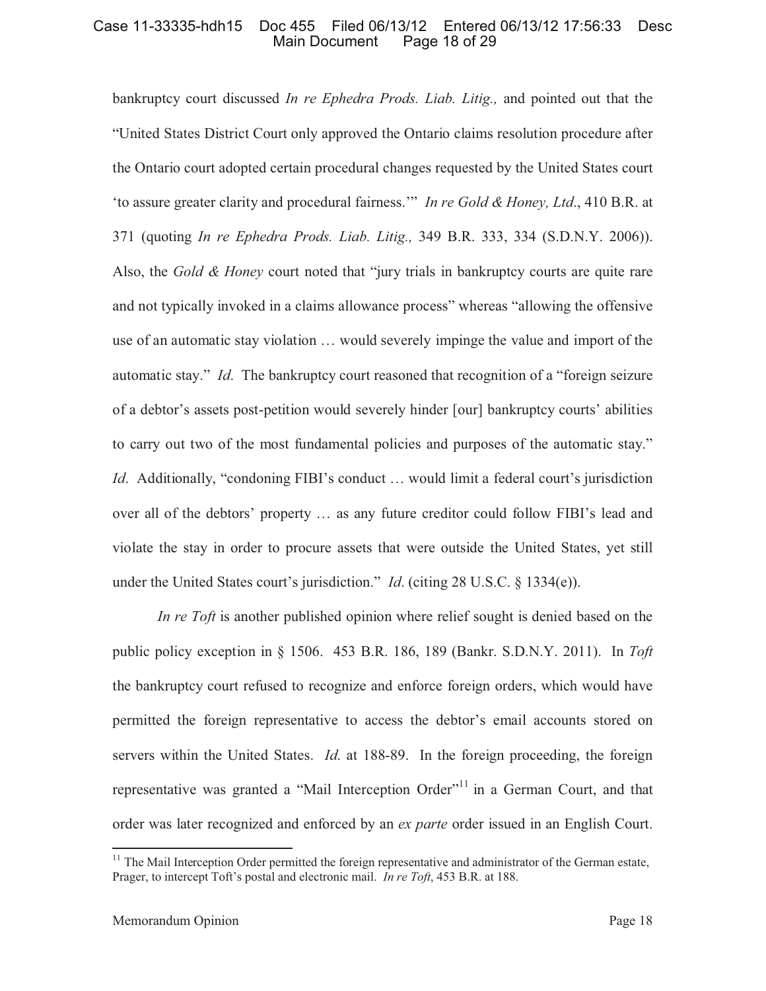bankruptcy court discussed *In re Ephedra Prods. Liab. Litig.,* and pointed out that the "United States District Court only approved the Ontario claims resolution procedure after the Ontario court adopted certain procedural changes requested by the United States court 'to assure greater clarity and procedural fairness.'" *In re Gold & Honey, Ltd*., 410 B.R. at 371 (quoting *In re Ephedra Prods. Liab. Litig.,* 349 B.R. 333, 334 (S.D.N.Y. 2006)). Also, the *Gold & Honey* court noted that "jury trials in bankruptcy courts are quite rare and not typically invoked in a claims allowance process" whereas "allowing the offensive use of an automatic stay violation … would severely impinge the value and import of the automatic stay." *Id*. The bankruptcy court reasoned that recognition of a "foreign seizure of a debtor's assets post-petition would severely hinder [our] bankruptcy courts' abilities to carry out two of the most fundamental policies and purposes of the automatic stay." *Id.* Additionally, "condoning FIBI's conduct ... would limit a federal court's jurisdiction over all of the debtors' property … as any future creditor could follow FIBI's lead and violate the stay in order to procure assets that were outside the United States, yet still under the United States court's jurisdiction." *Id*. (citing 28 U.S.C. § 1334(e)).

*In re Toft* is another published opinion where relief sought is denied based on the public policy exception in § 1506. 453 B.R. 186, 189 (Bankr. S.D.N.Y. 2011). In *Toft*  the bankruptcy court refused to recognize and enforce foreign orders, which would have permitted the foreign representative to access the debtor's email accounts stored on servers within the United States. *Id*. at 188-89. In the foreign proceeding, the foreign representative was granted a "Mail Interception Order"<sup>11</sup> in a German Court, and that order was later recognized and enforced by an *ex parte* order issued in an English Court.

<sup>&</sup>lt;sup>11</sup> The Mail Interception Order permitted the foreign representative and administrator of the German estate, Prager, to intercept Toft's postal and electronic mail. *In re Toft*, 453 B.R. at 188.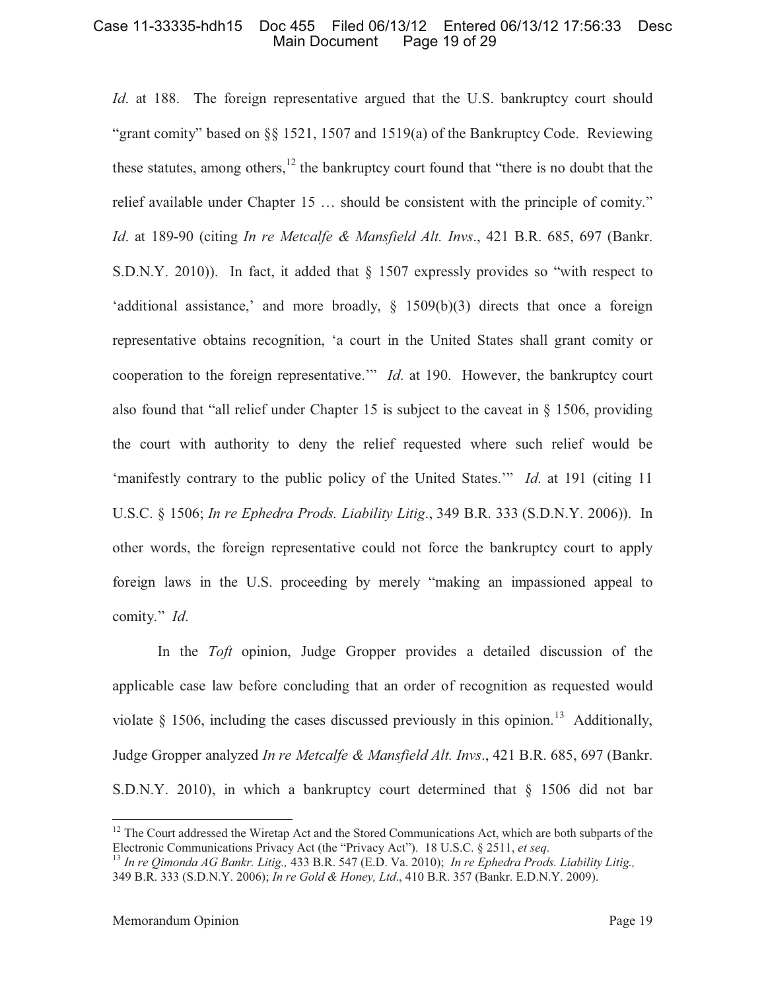*Id.* at 188. The foreign representative argued that the U.S. bankruptcy court should "grant comity" based on  $\S$  1521, 1507 and 1519(a) of the Bankruptcy Code. Reviewing these statutes, among others,  $12$  the bankruptcy court found that "there is no doubt that the relief available under Chapter 15 … should be consistent with the principle of comity." *Id*. at 189-90 (citing *In re Metcalfe & Mansfield Alt. Invs*., 421 B.R. 685, 697 (Bankr. S.D.N.Y. 2010)). In fact, it added that § 1507 expressly provides so "with respect to 'additional assistance,' and more broadly,  $\S$  1509(b)(3) directs that once a foreign representative obtains recognition, 'a court in the United States shall grant comity or cooperation to the foreign representative.'" *Id*. at 190. However, the bankruptcy court also found that "all relief under Chapter 15 is subject to the caveat in § 1506, providing the court with authority to deny the relief requested where such relief would be 'manifestly contrary to the public policy of the United States.'" *Id*. at 191 (citing 11 U.S.C. § 1506; *In re Ephedra Prods. Liability Litig*., 349 B.R. 333 (S.D.N.Y. 2006)). In other words, the foreign representative could not force the bankruptcy court to apply foreign laws in the U.S. proceeding by merely "making an impassioned appeal to comity." *Id*.

In the *Toft* opinion, Judge Gropper provides a detailed discussion of the applicable case law before concluding that an order of recognition as requested would violate § 1506, including the cases discussed previously in this opinion.<sup>13</sup> Additionally, Judge Gropper analyzed *In re Metcalfe & Mansfield Alt. Invs*., 421 B.R. 685, 697 (Bankr. S.D.N.Y. 2010), in which a bankruptcy court determined that § 1506 did not bar

<sup>&</sup>lt;sup>12</sup> The Court addressed the Wiretap Act and the Stored Communications Act, which are both subparts of the Electronic Communications Privacy Act (the "Privacy Act"). 18 U.S.C. § 2511, *et seq*.

<sup>13</sup> *In re Qimonda AG Bankr. Litig.,* 433 B.R. 547 (E.D. Va. 2010); *In re Ephedra Prods. Liability Litig.,*  349 B.R. 333 (S.D.N.Y. 2006); *In re Gold & Honey, Ltd*., 410 B.R. 357 (Bankr. E.D.N.Y. 2009).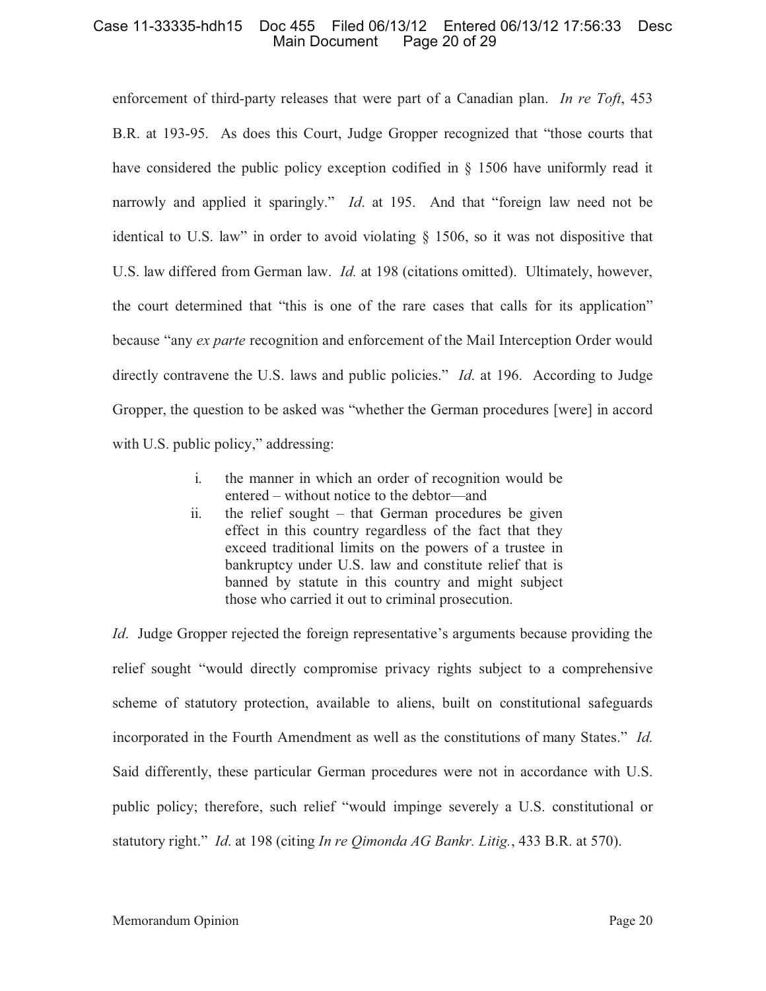enforcement of third-party releases that were part of a Canadian plan. *In re Toft*, 453 B.R. at 193-95. As does this Court, Judge Gropper recognized that "those courts that have considered the public policy exception codified in § 1506 have uniformly read it narrowly and applied it sparingly." *Id*. at 195. And that "foreign law need not be identical to U.S. law" in order to avoid violating § 1506, so it was not dispositive that U.S. law differed from German law. *Id.* at 198 (citations omitted). Ultimately, however, the court determined that "this is one of the rare cases that calls for its application" because "any *ex parte* recognition and enforcement of the Mail Interception Order would directly contravene the U.S. laws and public policies." *Id*. at 196. According to Judge Gropper, the question to be asked was "whether the German procedures [were] in accord with U.S. public policy," addressing:

- i. the manner in which an order of recognition would be entered – without notice to the debtor—and
- ii. the relief sought that German procedures be given effect in this country regardless of the fact that they exceed traditional limits on the powers of a trustee in bankruptcy under U.S. law and constitute relief that is banned by statute in this country and might subject those who carried it out to criminal prosecution.

*Id*. Judge Gropper rejected the foreign representative's arguments because providing the relief sought "would directly compromise privacy rights subject to a comprehensive scheme of statutory protection, available to aliens, built on constitutional safeguards incorporated in the Fourth Amendment as well as the constitutions of many States." *Id*. Said differently, these particular German procedures were not in accordance with U.S. public policy; therefore, such relief "would impinge severely a U.S. constitutional or statutory right." *Id*. at 198 (citing *In re Qimonda AG Bankr. Litig.*, 433 B.R. at 570).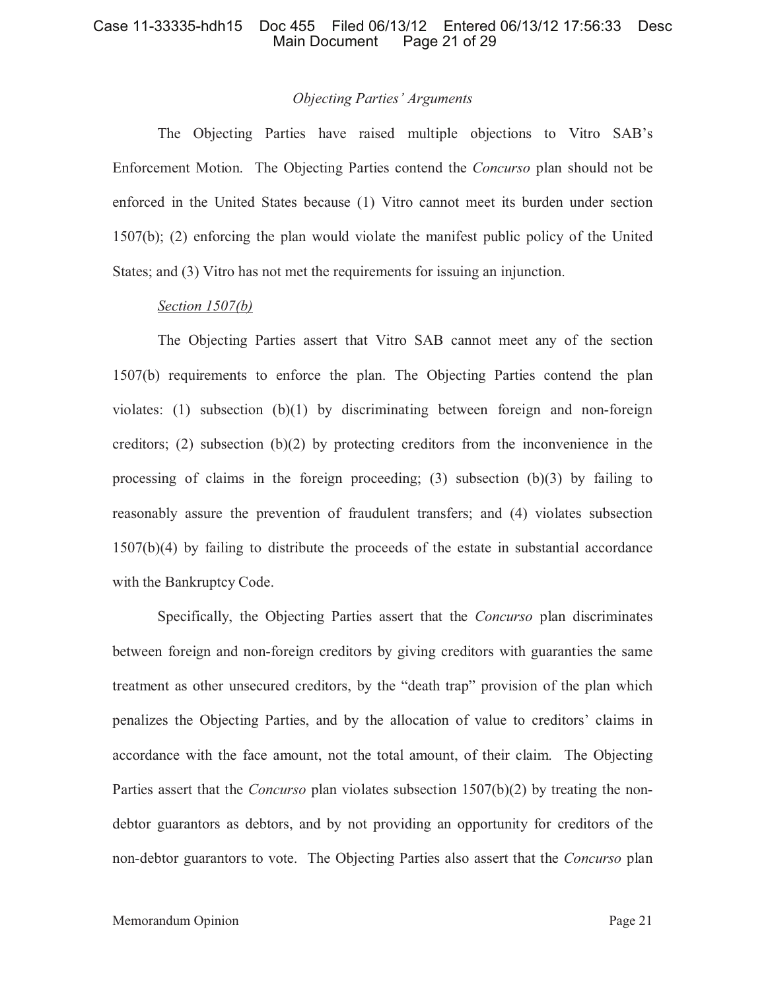#### *Objecting Parties' Arguments*

The Objecting Parties have raised multiple objections to Vitro SAB's Enforcement Motion. The Objecting Parties contend the *Concurso* plan should not be enforced in the United States because (1) Vitro cannot meet its burden under section 1507(b); (2) enforcing the plan would violate the manifest public policy of the United States; and (3) Vitro has not met the requirements for issuing an injunction.

# *Section 1507(b)*

The Objecting Parties assert that Vitro SAB cannot meet any of the section 1507(b) requirements to enforce the plan. The Objecting Parties contend the plan violates: (1) subsection (b)(1) by discriminating between foreign and non-foreign creditors; (2) subsection (b)(2) by protecting creditors from the inconvenience in the processing of claims in the foreign proceeding; (3) subsection  $(b)(3)$  by failing to reasonably assure the prevention of fraudulent transfers; and (4) violates subsection 1507(b)(4) by failing to distribute the proceeds of the estate in substantial accordance with the Bankruptcy Code.

Specifically, the Objecting Parties assert that the *Concurso* plan discriminates between foreign and non-foreign creditors by giving creditors with guaranties the same treatment as other unsecured creditors, by the "death trap" provision of the plan which penalizes the Objecting Parties, and by the allocation of value to creditors' claims in accordance with the face amount, not the total amount, of their claim. The Objecting Parties assert that the *Concurso* plan violates subsection 1507(b)(2) by treating the nondebtor guarantors as debtors, and by not providing an opportunity for creditors of the non-debtor guarantors to vote. The Objecting Parties also assert that the *Concurso* plan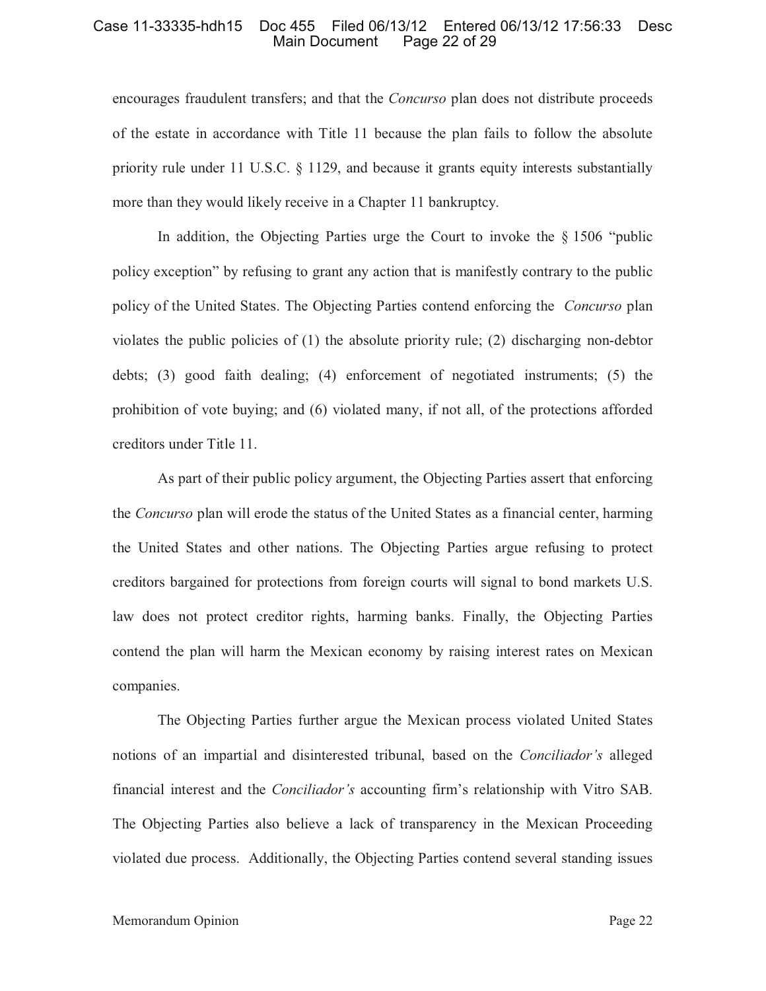encourages fraudulent transfers; and that the *Concurso* plan does not distribute proceeds of the estate in accordance with Title 11 because the plan fails to follow the absolute priority rule under 11 U.S.C. § 1129, and because it grants equity interests substantially more than they would likely receive in a Chapter 11 bankruptcy.

In addition, the Objecting Parties urge the Court to invoke the  $\S$  1506 "public policy exception" by refusing to grant any action that is manifestly contrary to the public policy of the United States. The Objecting Parties contend enforcing the *Concurso* plan violates the public policies of (1) the absolute priority rule; (2) discharging non-debtor debts; (3) good faith dealing; (4) enforcement of negotiated instruments; (5) the prohibition of vote buying; and (6) violated many, if not all, of the protections afforded creditors under Title 11.

As part of their public policy argument, the Objecting Parties assert that enforcing the *Concurso* plan will erode the status of the United States as a financial center, harming the United States and other nations. The Objecting Parties argue refusing to protect creditors bargained for protections from foreign courts will signal to bond markets U.S. law does not protect creditor rights, harming banks. Finally, the Objecting Parties contend the plan will harm the Mexican economy by raising interest rates on Mexican companies.

The Objecting Parties further argue the Mexican process violated United States notions of an impartial and disinterested tribunal, based on the *Conciliador's* alleged financial interest and the *Conciliador's* accounting firm's relationship with Vitro SAB. The Objecting Parties also believe a lack of transparency in the Mexican Proceeding violated due process. Additionally, the Objecting Parties contend several standing issues

#### Memorandum Opinion Page 22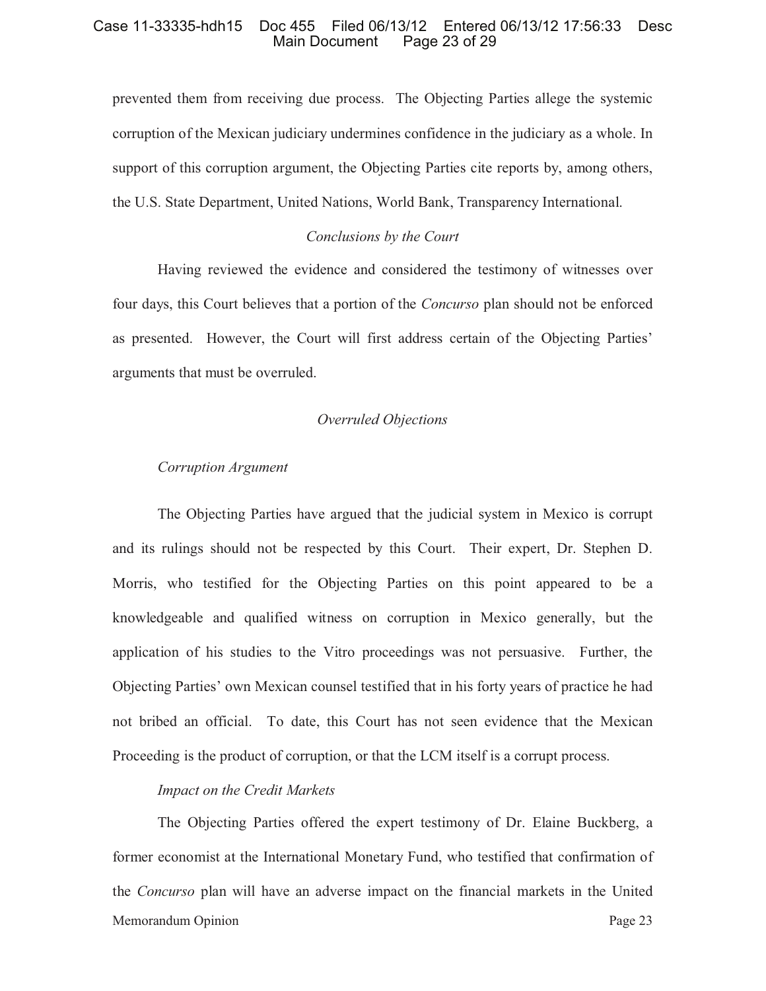prevented them from receiving due process. The Objecting Parties allege the systemic corruption of the Mexican judiciary undermines confidence in the judiciary as a whole. In support of this corruption argument, the Objecting Parties cite reports by, among others, the U.S. State Department, United Nations, World Bank, Transparency International.

### *Conclusions by the Court*

Having reviewed the evidence and considered the testimony of witnesses over four days, this Court believes that a portion of the *Concurso* plan should not be enforced as presented. However, the Court will first address certain of the Objecting Parties' arguments that must be overruled.

### *Overruled Objections*

# *Corruption Argument*

The Objecting Parties have argued that the judicial system in Mexico is corrupt and its rulings should not be respected by this Court. Their expert, Dr. Stephen D. Morris, who testified for the Objecting Parties on this point appeared to be a knowledgeable and qualified witness on corruption in Mexico generally, but the application of his studies to the Vitro proceedings was not persuasive. Further, the Objecting Parties' own Mexican counsel testified that in his forty years of practice he had not bribed an official. To date, this Court has not seen evidence that the Mexican Proceeding is the product of corruption, or that the LCM itself is a corrupt process.

#### *Impact on the Credit Markets*

Memorandum Opinion **Page 23** The Objecting Parties offered the expert testimony of Dr. Elaine Buckberg, a former economist at the International Monetary Fund, who testified that confirmation of the *Concurso* plan will have an adverse impact on the financial markets in the United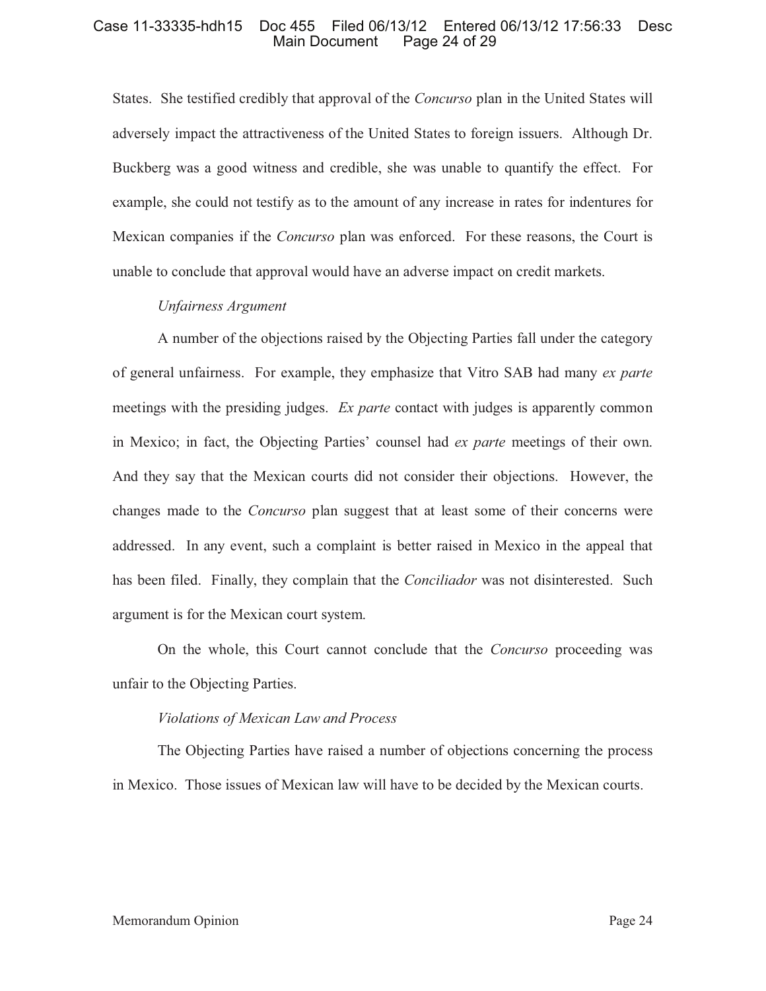# Case 11-33335-hdh15 Doc 455 Filed 06/13/12 Entered 06/13/12 17:56:33 Desc Page 24 of 29

States. She testified credibly that approval of the *Concurso* plan in the United States will adversely impact the attractiveness of the United States to foreign issuers. Although Dr. Buckberg was a good witness and credible, she was unable to quantify the effect. For example, she could not testify as to the amount of any increase in rates for indentures for Mexican companies if the *Concurso* plan was enforced. For these reasons, the Court is unable to conclude that approval would have an adverse impact on credit markets.

### *Unfairness Argument*

A number of the objections raised by the Objecting Parties fall under the category of general unfairness. For example, they emphasize that Vitro SAB had many *ex parte* meetings with the presiding judges. *Ex parte* contact with judges is apparently common in Mexico; in fact, the Objecting Parties' counsel had *ex parte* meetings of their own. And they say that the Mexican courts did not consider their objections. However, the changes made to the *Concurso* plan suggest that at least some of their concerns were addressed. In any event, such a complaint is better raised in Mexico in the appeal that has been filed. Finally, they complain that the *Conciliador* was not disinterested. Such argument is for the Mexican court system.

On the whole, this Court cannot conclude that the *Concurso* proceeding was unfair to the Objecting Parties.

### *Violations of Mexican Law and Process*

The Objecting Parties have raised a number of objections concerning the process in Mexico. Those issues of Mexican law will have to be decided by the Mexican courts.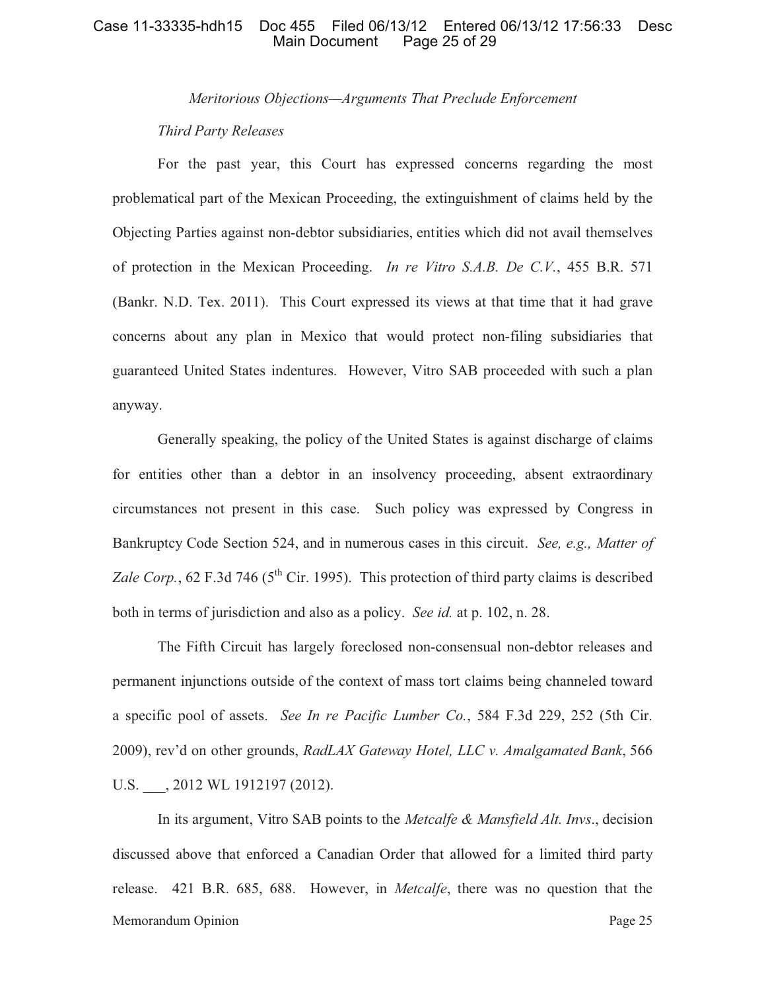*Meritorious Objections—Arguments That Preclude Enforcement*

# *Third Party Releases*

For the past year, this Court has expressed concerns regarding the most problematical part of the Mexican Proceeding, the extinguishment of claims held by the Objecting Parties against non-debtor subsidiaries, entities which did not avail themselves of protection in the Mexican Proceeding. *In re Vitro S.A.B. De C.V.*, 455 B.R. 571 (Bankr. N.D. Tex. 2011). This Court expressed its views at that time that it had grave concerns about any plan in Mexico that would protect non-filing subsidiaries that guaranteed United States indentures. However, Vitro SAB proceeded with such a plan anyway.

Generally speaking, the policy of the United States is against discharge of claims for entities other than a debtor in an insolvency proceeding, absent extraordinary circumstances not present in this case. Such policy was expressed by Congress in Bankruptcy Code Section 524, and in numerous cases in this circuit. *See, e.g., Matter of Zale Corp.*, 62 F.3d 746 ( $5<sup>th</sup>$  Cir. 1995). This protection of third party claims is described both in terms of jurisdiction and also as a policy. *See id.* at p. 102, n. 28.

The Fifth Circuit has largely foreclosed non-consensual non-debtor releases and permanent injunctions outside of the context of mass tort claims being channeled toward a specific pool of assets. *See In re Pacific Lumber Co.*, 584 F.3d 229, 252 (5th Cir. 2009), rev'd on other grounds, *RadLAX Gateway Hotel, LLC v. Amalgamated Bank*, 566 U.S. , 2012 WL 1912197 (2012).

Memorandum Opinion Page 25 In its argument, Vitro SAB points to the *Metcalfe & Mansfield Alt. Invs*., decision discussed above that enforced a Canadian Order that allowed for a limited third party release. 421 B.R. 685, 688. However, in *Metcalfe*, there was no question that the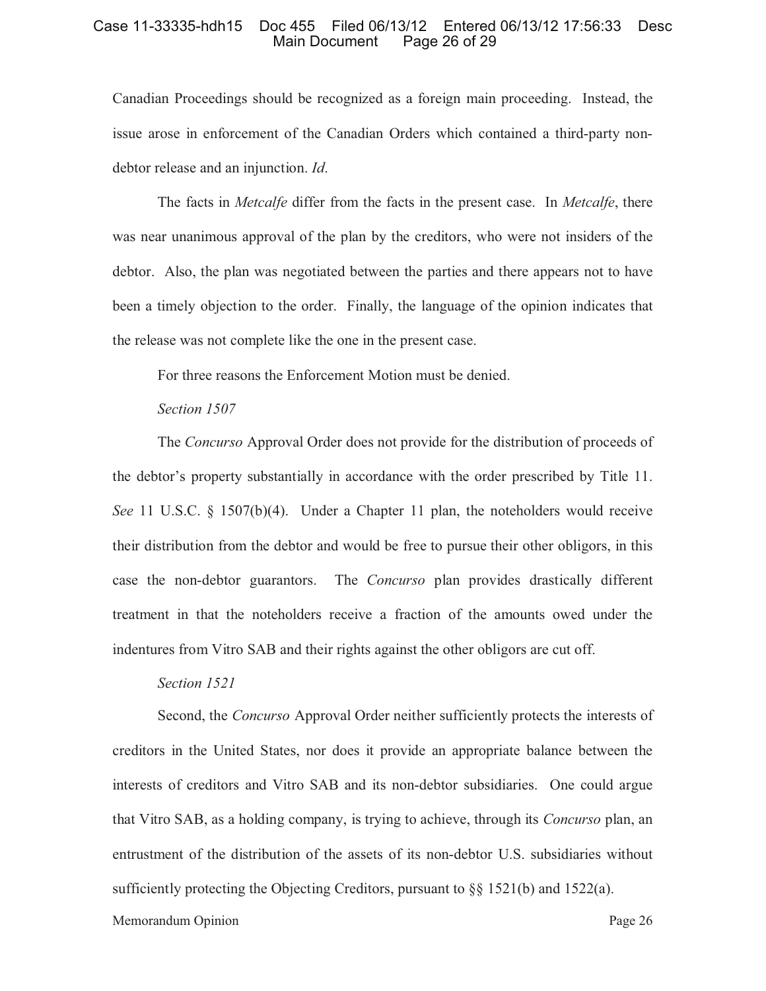#### Case 11-33335-hdh15 Doc 455 Filed 06/13/12 Entered 06/13/12 17:56:33 Desc Page 26 of 29

Canadian Proceedings should be recognized as a foreign main proceeding. Instead, the issue arose in enforcement of the Canadian Orders which contained a third-party nondebtor release and an injunction. *Id*.

The facts in *Metcalfe* differ from the facts in the present case. In *Metcalfe*, there was near unanimous approval of the plan by the creditors, who were not insiders of the debtor. Also, the plan was negotiated between the parties and there appears not to have been a timely objection to the order. Finally, the language of the opinion indicates that the release was not complete like the one in the present case.

For three reasons the Enforcement Motion must be denied.

# *Section 1507*

The *Concurso* Approval Order does not provide for the distribution of proceeds of the debtor's property substantially in accordance with the order prescribed by Title 11. *See* 11 U.S.C. § 1507(b)(4). Under a Chapter 11 plan, the noteholders would receive their distribution from the debtor and would be free to pursue their other obligors, in this case the non-debtor guarantors. The *Concurso* plan provides drastically different treatment in that the noteholders receive a fraction of the amounts owed under the indentures from Vitro SAB and their rights against the other obligors are cut off.

#### *Section 1521*

Second, the *Concurso* Approval Order neither sufficiently protects the interests of creditors in the United States, nor does it provide an appropriate balance between the interests of creditors and Vitro SAB and its non-debtor subsidiaries. One could argue that Vitro SAB, as a holding company, is trying to achieve, through its *Concurso* plan, an entrustment of the distribution of the assets of its non-debtor U.S. subsidiaries without sufficiently protecting the Objecting Creditors, pursuant to  $\S$ § 1521(b) and 1522(a).

#### Memorandum Opinion **Page 26**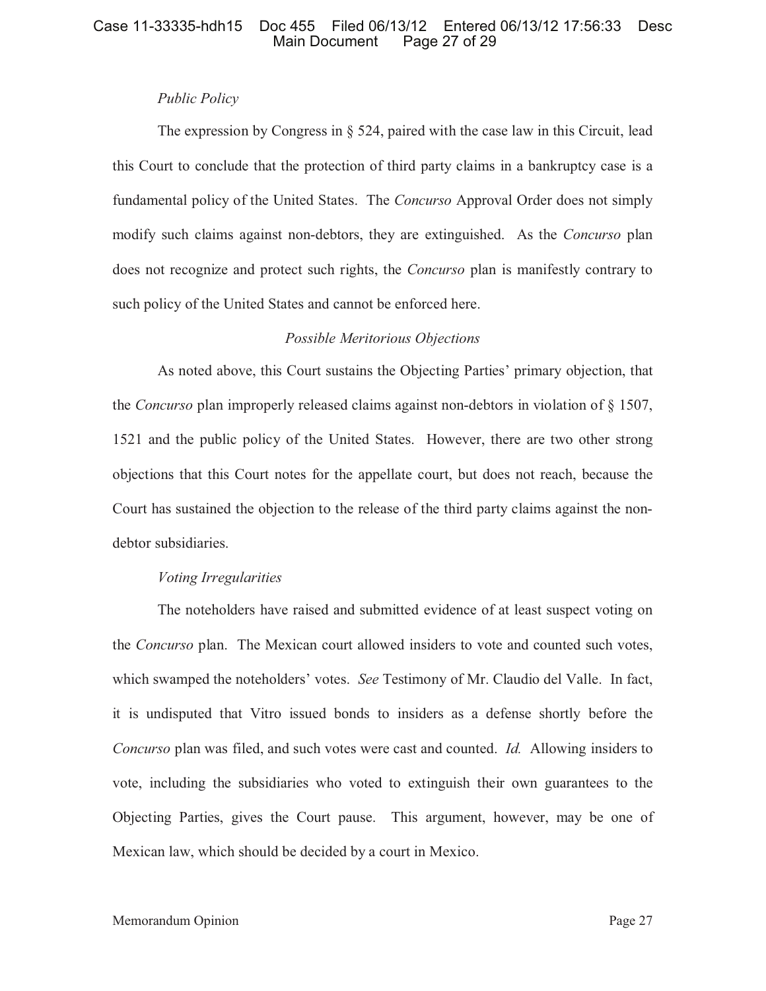# *Public Policy*

The expression by Congress in  $\S$  524, paired with the case law in this Circuit, lead this Court to conclude that the protection of third party claims in a bankruptcy case is a fundamental policy of the United States. The *Concurso* Approval Order does not simply modify such claims against non-debtors, they are extinguished. As the *Concurso* plan does not recognize and protect such rights, the *Concurso* plan is manifestly contrary to such policy of the United States and cannot be enforced here.

# *Possible Meritorious Objections*

As noted above, this Court sustains the Objecting Parties' primary objection, that the *Concurso* plan improperly released claims against non-debtors in violation of § 1507, 1521 and the public policy of the United States. However, there are two other strong objections that this Court notes for the appellate court, but does not reach, because the Court has sustained the objection to the release of the third party claims against the nondebtor subsidiaries.

### *Voting Irregularities*

The noteholders have raised and submitted evidence of at least suspect voting on the *Concurso* plan. The Mexican court allowed insiders to vote and counted such votes, which swamped the noteholders' votes. *See* Testimony of Mr. Claudio del Valle. In fact, it is undisputed that Vitro issued bonds to insiders as a defense shortly before the *Concurso* plan was filed, and such votes were cast and counted. *Id.* Allowing insiders to vote, including the subsidiaries who voted to extinguish their own guarantees to the Objecting Parties, gives the Court pause. This argument, however, may be one of Mexican law, which should be decided by a court in Mexico.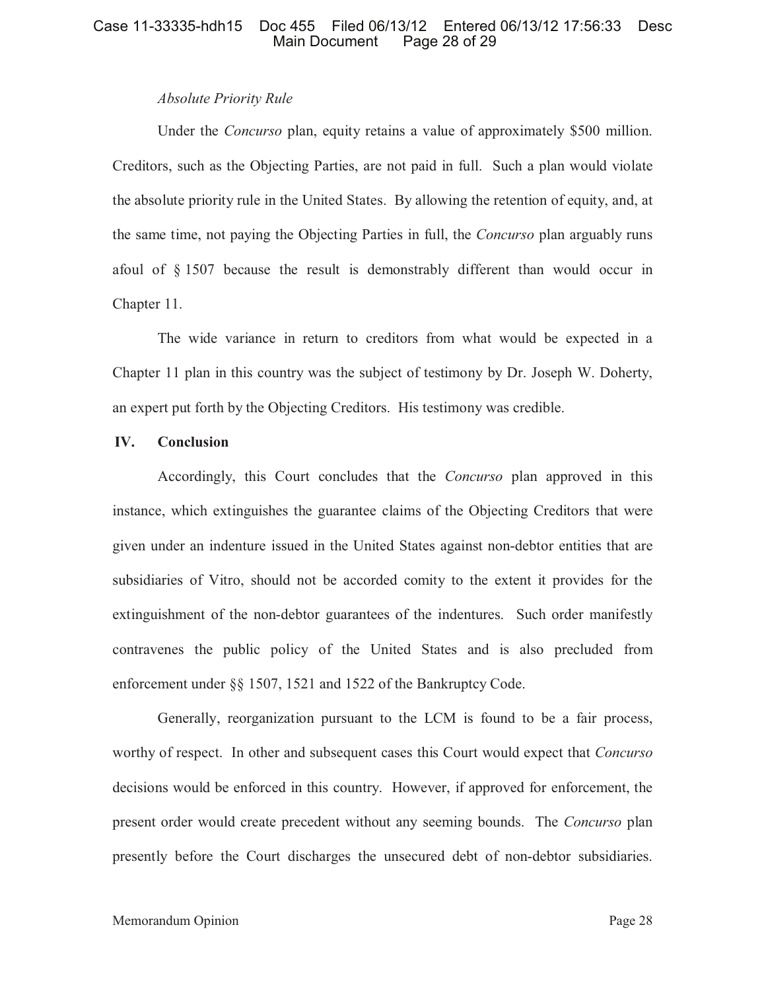# *Absolute Priority Rule*

Under the *Concurso* plan, equity retains a value of approximately \$500 million. Creditors, such as the Objecting Parties, are not paid in full. Such a plan would violate the absolute priority rule in the United States. By allowing the retention of equity, and, at the same time, not paying the Objecting Parties in full, the *Concurso* plan arguably runs afoul of § 1507 because the result is demonstrably different than would occur in Chapter 11.

The wide variance in return to creditors from what would be expected in a Chapter 11 plan in this country was the subject of testimony by Dr. Joseph W. Doherty, an expert put forth by the Objecting Creditors. His testimony was credible.

### **IV. Conclusion**

Accordingly, this Court concludes that the *Concurso* plan approved in this instance, which extinguishes the guarantee claims of the Objecting Creditors that were given under an indenture issued in the United States against non-debtor entities that are subsidiaries of Vitro, should not be accorded comity to the extent it provides for the extinguishment of the non-debtor guarantees of the indentures. Such order manifestly contravenes the public policy of the United States and is also precluded from enforcement under §§ 1507, 1521 and 1522 of the Bankruptcy Code.

Generally, reorganization pursuant to the LCM is found to be a fair process, worthy of respect. In other and subsequent cases this Court would expect that *Concurso* decisions would be enforced in this country. However, if approved for enforcement, the present order would create precedent without any seeming bounds. The *Concurso* plan presently before the Court discharges the unsecured debt of non-debtor subsidiaries.